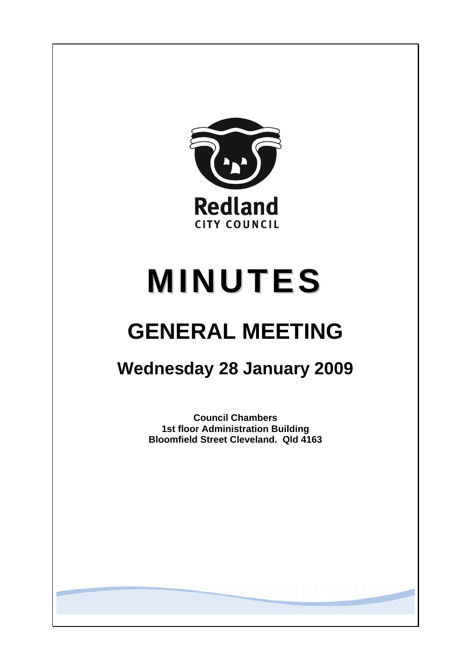

# **MINUTES**

## **GENERAL MEETING**

### **Wednesday 28 January 2009**

**Council Chambers 1st floor Administration Building Bloomfield Street Cleveland. Qld 4163**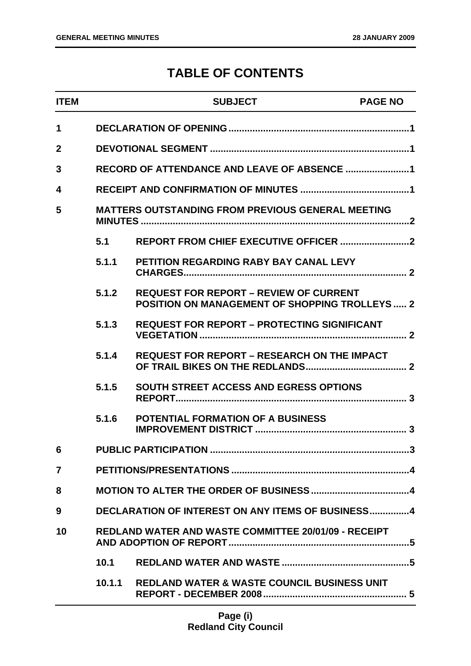### **TABLE OF CONTENTS**

| <b>ITEM</b>    |        | <b>SUBJECT</b>                                                                                         | <b>PAGE NO</b> |
|----------------|--------|--------------------------------------------------------------------------------------------------------|----------------|
| $\mathbf 1$    |        |                                                                                                        |                |
| $\mathbf 2$    |        |                                                                                                        |                |
| 3              |        |                                                                                                        |                |
| 4              |        |                                                                                                        |                |
| 5              |        | <b>MATTERS OUTSTANDING FROM PREVIOUS GENERAL MEETING</b>                                               |                |
|                | 5.1    |                                                                                                        |                |
|                | 5.1.1  | <b>PETITION REGARDING RABY BAY CANAL LEVY</b>                                                          |                |
|                | 5.1.2  | <b>REQUEST FOR REPORT - REVIEW OF CURRENT</b><br><b>POSITION ON MANAGEMENT OF SHOPPING TROLLEYS  2</b> |                |
|                | 5.1.3  | <b>REQUEST FOR REPORT - PROTECTING SIGNIFICANT</b>                                                     |                |
|                | 5.1.4  | <b>REQUEST FOR REPORT - RESEARCH ON THE IMPACT</b>                                                     |                |
|                | 5.1.5  | <b>SOUTH STREET ACCESS AND EGRESS OPTIONS</b>                                                          |                |
|                | 5.1.6  | <b>POTENTIAL FORMATION OF A BUSINESS</b>                                                               |                |
| 6              |        |                                                                                                        |                |
| $\overline{7}$ |        |                                                                                                        |                |
| 8              |        |                                                                                                        |                |
| 9              |        | DECLARATION OF INTEREST ON ANY ITEMS OF BUSINESS4                                                      |                |
| 10             |        | <b>REDLAND WATER AND WASTE COMMITTEE 20/01/09 - RECEIPT</b>                                            |                |
|                | 10.1   |                                                                                                        |                |
|                | 10.1.1 | <b>REDLAND WATER &amp; WASTE COUNCIL BUSINESS UNIT</b>                                                 |                |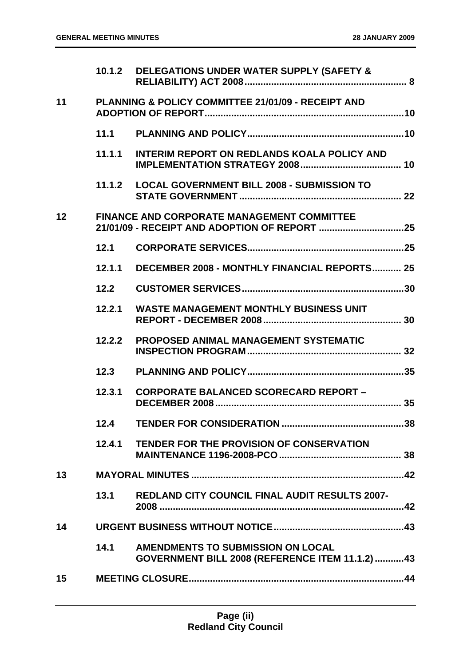|    | 10.1.2 | DELEGATIONS UNDER WATER SUPPLY (SAFETY &                                             |     |
|----|--------|--------------------------------------------------------------------------------------|-----|
| 11 |        | PLANNING & POLICY COMMITTEE 21/01/09 - RECEIPT AND                                   |     |
|    | 11.1   |                                                                                      |     |
|    | 11.1.1 | <b>INTERIM REPORT ON REDLANDS KOALA POLICY AND</b>                                   |     |
|    | 11.1.2 | <b>LOCAL GOVERNMENT BILL 2008 - SUBMISSION TO</b>                                    |     |
| 12 |        | <b>FINANCE AND CORPORATE MANAGEMENT COMMITTEE</b>                                    |     |
|    | 12.1   |                                                                                      |     |
|    | 12.1.1 | <b>DECEMBER 2008 - MONTHLY FINANCIAL REPORTS 25</b>                                  |     |
|    | 12.2   |                                                                                      |     |
|    | 12.2.1 | <b>WASTE MANAGEMENT MONTHLY BUSINESS UNIT</b>                                        |     |
|    | 12.2.2 | <b>PROPOSED ANIMAL MANAGEMENT SYSTEMATIC</b>                                         |     |
|    | 12.3   |                                                                                      |     |
|    | 12.3.1 | <b>CORPORATE BALANCED SCORECARD REPORT -</b>                                         |     |
|    | 12.4   |                                                                                      | .38 |
|    | 12.4.1 | <b>TENDER FOR THE PROVISION OF CONSERVATION</b>                                      |     |
| 13 |        |                                                                                      |     |
|    | 13.1   | <b>REDLAND CITY COUNCIL FINAL AUDIT RESULTS 2007-</b>                                |     |
| 14 |        |                                                                                      |     |
|    | 14.1   | AMENDMENTS TO SUBMISSION ON LOCAL<br>GOVERNMENT BILL 2008 (REFERENCE ITEM 11.1.2) 43 |     |
| 15 |        |                                                                                      |     |
|    |        |                                                                                      |     |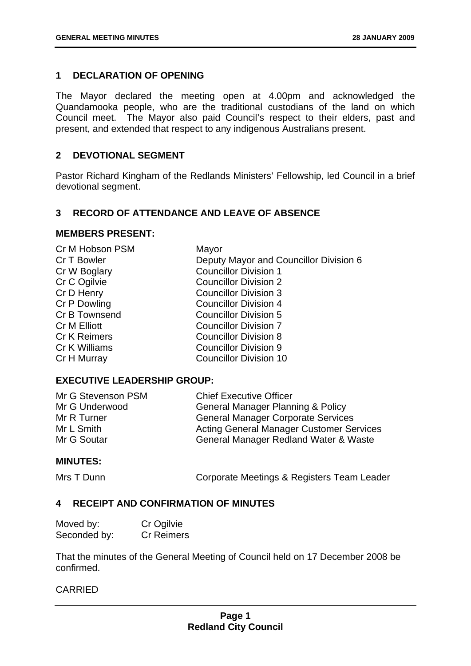#### <span id="page-3-0"></span>**1 DECLARATION OF OPENING**

The Mayor declared the meeting open at 4.00pm and acknowledged the Quandamooka people, who are the traditional custodians of the land on which Council meet. The Mayor also paid Council's respect to their elders, past and present, and extended that respect to any indigenous Australians present.

#### **2 DEVOTIONAL SEGMENT**

Pastor Richard Kingham of the Redlands Ministers' Fellowship, led Council in a brief devotional segment.

#### **3 RECORD OF ATTENDANCE AND LEAVE OF ABSENCE**

#### **MEMBERS PRESENT:**

| Cr M Hobson PSM     | Mayor                                  |
|---------------------|----------------------------------------|
| Cr T Bowler         | Deputy Mayor and Councillor Division 6 |
| Cr W Boglary        | <b>Councillor Division 1</b>           |
| Cr C Ogilvie        | <b>Councillor Division 2</b>           |
| Cr D Henry          | <b>Councillor Division 3</b>           |
| Cr P Dowling        | <b>Councillor Division 4</b>           |
| Cr B Townsend       | <b>Councillor Division 5</b>           |
| Cr M Elliott        | <b>Councillor Division 7</b>           |
| <b>Cr K Reimers</b> | <b>Councillor Division 8</b>           |
| Cr K Williams       | <b>Councillor Division 9</b>           |
| Cr H Murray         | <b>Councillor Division 10</b>          |
|                     |                                        |

#### **EXECUTIVE LEADERSHIP GROUP:**

| Mr G Stevenson PSM | <b>Chief Executive Officer</b>                  |
|--------------------|-------------------------------------------------|
| Mr G Underwood     | <b>General Manager Planning &amp; Policy</b>    |
| Mr R Turner        | <b>General Manager Corporate Services</b>       |
| Mr L Smith         | <b>Acting General Manager Customer Services</b> |
| Mr G Soutar        | General Manager Redland Water & Waste           |

#### **MINUTES:**

Mrs T Dunn **Corporate Meetings & Registers Team Leader** 

#### **4 RECEIPT AND CONFIRMATION OF MINUTES**

| Moved by:    | Cr Ogilvie |
|--------------|------------|
| Seconded by: | Cr Reimers |

That the minutes of the General Meeting of Council held on 17 December 2008 be confirmed.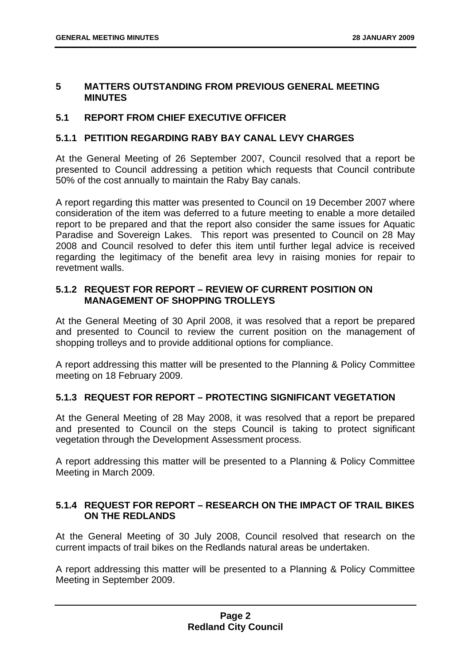#### <span id="page-4-0"></span>**5 MATTERS OUTSTANDING FROM PREVIOUS GENERAL MEETING MINUTES**

#### **5.1 REPORT FROM CHIEF EXECUTIVE OFFICER**

#### **5.1.1 PETITION REGARDING RABY BAY CANAL LEVY CHARGES**

At the General Meeting of 26 September 2007, Council resolved that a report be presented to Council addressing a petition which requests that Council contribute 50% of the cost annually to maintain the Raby Bay canals.

A report regarding this matter was presented to Council on 19 December 2007 where consideration of the item was deferred to a future meeting to enable a more detailed report to be prepared and that the report also consider the same issues for Aquatic Paradise and Sovereign Lakes. This report was presented to Council on 28 May 2008 and Council resolved to defer this item until further legal advice is received regarding the legitimacy of the benefit area levy in raising monies for repair to revetment walls.

#### **5.1.2 REQUEST FOR REPORT – REVIEW OF CURRENT POSITION ON MANAGEMENT OF SHOPPING TROLLEYS**

At the General Meeting of 30 April 2008, it was resolved that a report be prepared and presented to Council to review the current position on the management of shopping trolleys and to provide additional options for compliance.

A report addressing this matter will be presented to the Planning & Policy Committee meeting on 18 February 2009.

#### **5.1.3 REQUEST FOR REPORT – PROTECTING SIGNIFICANT VEGETATION**

At the General Meeting of 28 May 2008, it was resolved that a report be prepared and presented to Council on the steps Council is taking to protect significant vegetation through the Development Assessment process.

A report addressing this matter will be presented to a Planning & Policy Committee Meeting in March 2009.

#### **5.1.4 REQUEST FOR REPORT – RESEARCH ON THE IMPACT OF TRAIL BIKES ON THE REDLANDS**

At the General Meeting of 30 July 2008, Council resolved that research on the current impacts of trail bikes on the Redlands natural areas be undertaken.

A report addressing this matter will be presented to a Planning & Policy Committee Meeting in September 2009.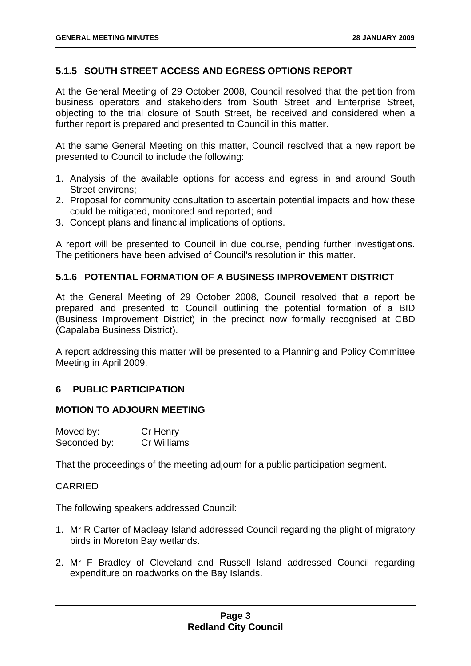#### <span id="page-5-0"></span>**5.1.5 SOUTH STREET ACCESS AND EGRESS OPTIONS REPORT**

At the General Meeting of 29 October 2008, Council resolved that the petition from business operators and stakeholders from South Street and Enterprise Street, objecting to the trial closure of South Street, be received and considered when a further report is prepared and presented to Council in this matter.

At the same General Meeting on this matter, Council resolved that a new report be presented to Council to include the following:

- 1. Analysis of the available options for access and egress in and around South Street environs;
- 2. Proposal for community consultation to ascertain potential impacts and how these could be mitigated, monitored and reported; and
- 3. Concept plans and financial implications of options.

A report will be presented to Council in due course, pending further investigations. The petitioners have been advised of Council's resolution in this matter.

#### **5.1.6 POTENTIAL FORMATION OF A BUSINESS IMPROVEMENT DISTRICT**

At the General Meeting of 29 October 2008, Council resolved that a report be prepared and presented to Council outlining the potential formation of a BID (Business Improvement District) in the precinct now formally recognised at CBD (Capalaba Business District).

A report addressing this matter will be presented to a Planning and Policy Committee Meeting in April 2009.

#### **6 PUBLIC PARTICIPATION**

#### **MOTION TO ADJOURN MEETING**

| Moved by:    | Cr Henry           |
|--------------|--------------------|
| Seconded by: | <b>Cr Williams</b> |

That the proceedings of the meeting adjourn for a public participation segment.

#### CARRIED

The following speakers addressed Council:

- 1. Mr R Carter of Macleay Island addressed Council regarding the plight of migratory birds in Moreton Bay wetlands.
- 2. Mr F Bradley of Cleveland and Russell Island addressed Council regarding expenditure on roadworks on the Bay Islands.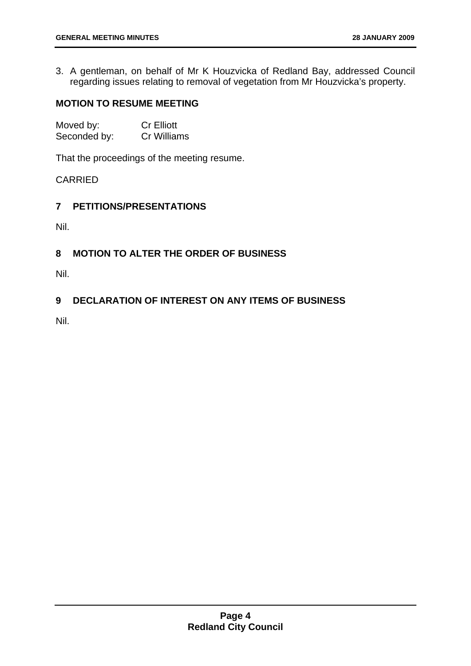<span id="page-6-0"></span>3. A gentleman, on behalf of Mr K Houzvicka of Redland Bay, addressed Council regarding issues relating to removal of vegetation from Mr Houzvicka's property.

#### **MOTION TO RESUME MEETING**

| Moved by:    | <b>Cr Elliott</b> |
|--------------|-------------------|
| Seconded by: | Cr Williams       |

That the proceedings of the meeting resume.

#### CARRIED

#### **7 PETITIONS/PRESENTATIONS**

Nil.

#### **8 MOTION TO ALTER THE ORDER OF BUSINESS**

Nil.

#### **9 DECLARATION OF INTEREST ON ANY ITEMS OF BUSINESS**

Nil.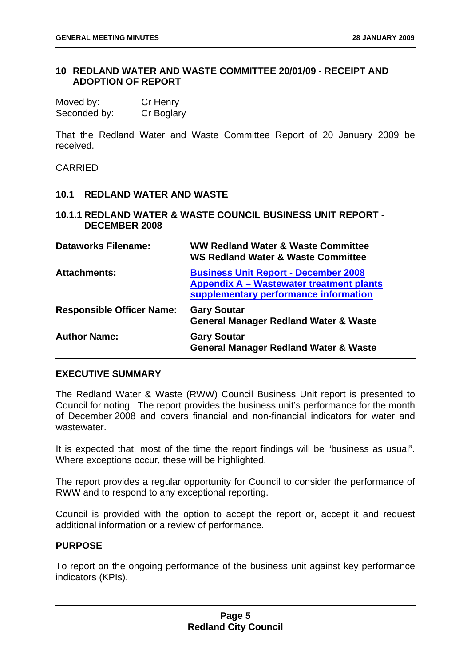#### <span id="page-7-0"></span>**10 REDLAND WATER AND WASTE COMMITTEE 20/01/09 - RECEIPT AND ADOPTION OF REPORT**

| Moved by:    | Cr Henry   |
|--------------|------------|
| Seconded by: | Cr Boglary |

That the Redland Water and Waste Committee Report of 20 January 2009 be received.

CARRIED

#### **10.1 REDLAND WATER AND WASTE**

#### **10.1.1 REDLAND WATER & WASTE COUNCIL BUSINESS UNIT REPORT - DECEMBER 2008**

| <b>Dataworks Filename:</b>       | <b>WW Redland Water &amp; Waste Committee</b><br><b>WS Redland Water &amp; Waste Committee</b>                                   |
|----------------------------------|----------------------------------------------------------------------------------------------------------------------------------|
| <b>Attachments:</b>              | <b>Business Unit Report - December 2008</b><br>Appendix A - Wastewater treatment plants<br>supplementary performance information |
| <b>Responsible Officer Name:</b> | <b>Gary Soutar</b><br><b>General Manager Redland Water &amp; Waste</b>                                                           |
| <b>Author Name:</b>              | <b>Gary Soutar</b><br><b>General Manager Redland Water &amp; Waste</b>                                                           |

#### **EXECUTIVE SUMMARY**

The Redland Water & Waste (RWW) Council Business Unit report is presented to Council for noting. The report provides the business unit's performance for the month of December 2008 and covers financial and non-financial indicators for water and wastewater.

It is expected that, most of the time the report findings will be "business as usual". Where exceptions occur, these will be highlighted.

The report provides a regular opportunity for Council to consider the performance of RWW and to respond to any exceptional reporting.

Council is provided with the option to accept the report or, accept it and request additional information or a review of performance.

#### **PURPOSE**

To report on the ongoing performance of the business unit against key performance indicators (KPIs).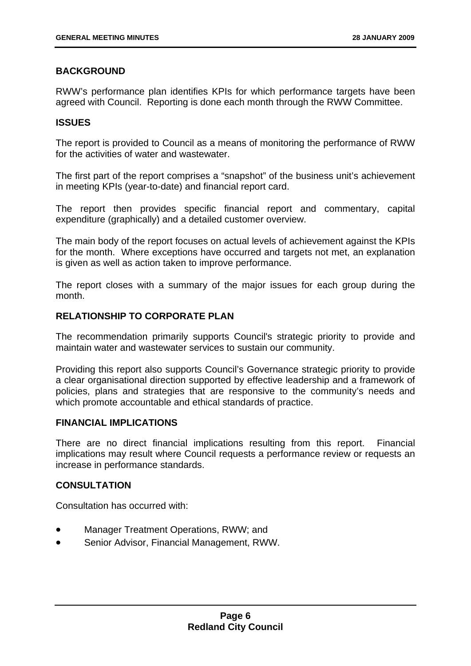#### **BACKGROUND**

RWW's performance plan identifies KPIs for which performance targets have been agreed with Council. Reporting is done each month through the RWW Committee.

#### **ISSUES**

The report is provided to Council as a means of monitoring the performance of RWW for the activities of water and wastewater.

The first part of the report comprises a "snapshot" of the business unit's achievement in meeting KPIs (year-to-date) and financial report card.

The report then provides specific financial report and commentary, capital expenditure (graphically) and a detailed customer overview.

The main body of the report focuses on actual levels of achievement against the KPIs for the month. Where exceptions have occurred and targets not met, an explanation is given as well as action taken to improve performance.

The report closes with a summary of the major issues for each group during the month.

#### **RELATIONSHIP TO CORPORATE PLAN**

The recommendation primarily supports Council's strategic priority to provide and maintain water and wastewater services to sustain our community.

Providing this report also supports Council's Governance strategic priority to provide a clear organisational direction supported by effective leadership and a framework of policies, plans and strategies that are responsive to the community's needs and which promote accountable and ethical standards of practice.

#### **FINANCIAL IMPLICATIONS**

There are no direct financial implications resulting from this report. Financial implications may result where Council requests a performance review or requests an increase in performance standards.

#### **CONSULTATION**

Consultation has occurred with:

- Manager Treatment Operations, RWW; and
- Senior Advisor, Financial Management, RWW.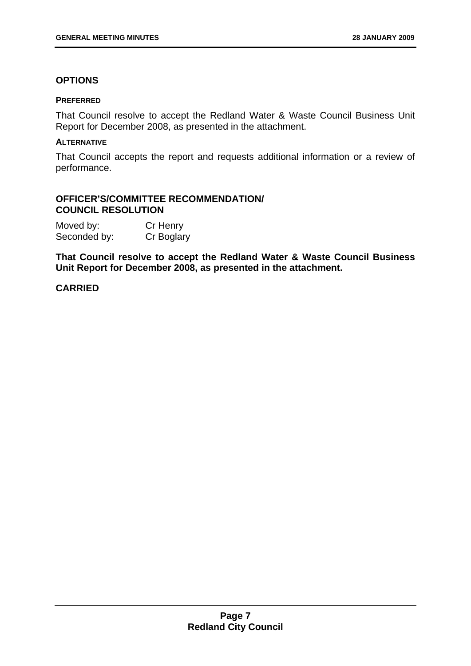#### **OPTIONS**

#### **PREFERRED**

That Council resolve to accept the Redland Water & Waste Council Business Unit Report for December 2008, as presented in the attachment.

#### **ALTERNATIVE**

That Council accepts the report and requests additional information or a review of performance.

#### **OFFICER'S/COMMITTEE RECOMMENDATION/ COUNCIL RESOLUTION**

| Moved by:    | Cr Henry   |
|--------------|------------|
| Seconded by: | Cr Boglary |

**That Council resolve to accept the Redland Water & Waste Council Business Unit Report for December 2008, as presented in the attachment.**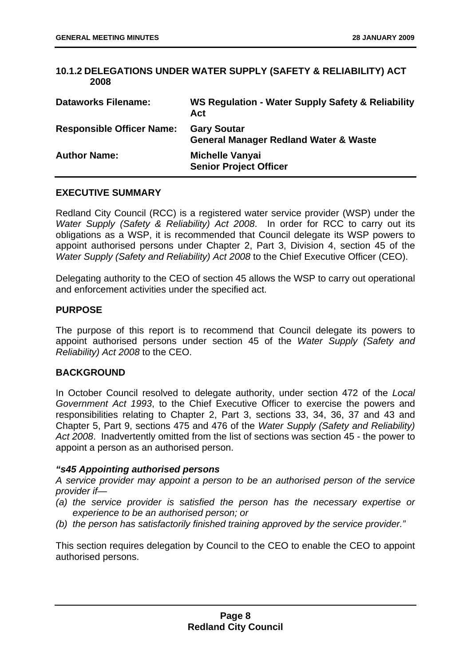#### <span id="page-10-0"></span>**10.1.2 DELEGATIONS UNDER WATER SUPPLY (SAFETY & RELIABILITY) ACT 2008**

| <b>Dataworks Filename:</b>       | WS Regulation - Water Supply Safety & Reliability<br>Act               |
|----------------------------------|------------------------------------------------------------------------|
| <b>Responsible Officer Name:</b> | <b>Gary Soutar</b><br><b>General Manager Redland Water &amp; Waste</b> |
| <b>Author Name:</b>              | Michelle Vanyai<br><b>Senior Project Officer</b>                       |

#### **EXECUTIVE SUMMARY**

Redland City Council (RCC) is a registered water service provider (WSP) under the *Water Supply (Safety & Reliability) Act 2008*. In order for RCC to carry out its obligations as a WSP, it is recommended that Council delegate its WSP powers to appoint authorised persons under Chapter 2, Part 3, Division 4, section 45 of the *Water Supply (Safety and Reliability) Act 2008* to the Chief Executive Officer (CEO).

Delegating authority to the CEO of section 45 allows the WSP to carry out operational and enforcement activities under the specified act.

#### **PURPOSE**

The purpose of this report is to recommend that Council delegate its powers to appoint authorised persons under section 45 of the *Water Supply (Safety and Reliability) Act 2008* to the CEO.

#### **BACKGROUND**

In October Council resolved to delegate authority, under section 472 of the *Local Government Act 1993*, to the Chief Executive Officer to exercise the powers and responsibilities relating to Chapter 2, Part 3, sections 33, 34, 36, 37 and 43 and Chapter 5, Part 9, sections 475 and 476 of the *Water Supply (Safety and Reliability) Act 2008*. Inadvertently omitted from the list of sections was section 45 - the power to appoint a person as an authorised person.

#### *"s45 Appointing authorised persons*

*A service provider may appoint a person to be an authorised person of the service provider if—* 

- *(a) the service provider is satisfied the person has the necessary expertise or experience to be an authorised person; or*
- *(b) the person has satisfactorily finished training approved by the service provider."*

This section requires delegation by Council to the CEO to enable the CEO to appoint authorised persons.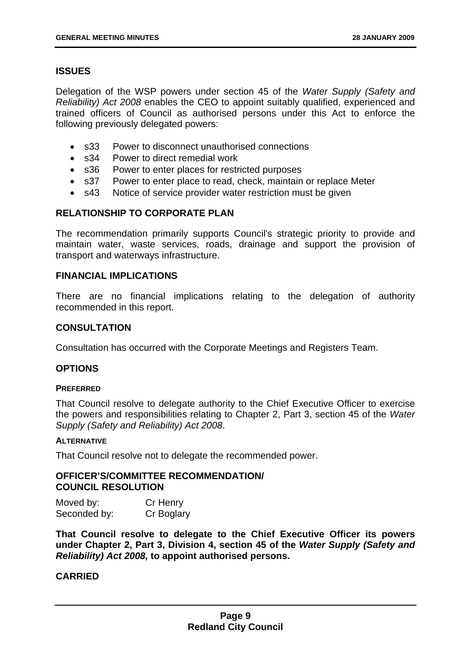#### **ISSUES**

Delegation of the WSP powers under section 45 of the *Water Supply (Safety and Reliability) Act 2008* enables the CEO to appoint suitably qualified, experienced and trained officers of Council as authorised persons under this Act to enforce the following previously delegated powers:

- s33 Power to disconnect unauthorised connections
- s34 Power to direct remedial work
- s36 Power to enter places for restricted purposes
- s37 Power to enter place to read, check, maintain or replace Meter
- s43 Notice of service provider water restriction must be given

#### **RELATIONSHIP TO CORPORATE PLAN**

The recommendation primarily supports Council's strategic priority to provide and maintain water, waste services, roads, drainage and support the provision of transport and waterways infrastructure.

#### **FINANCIAL IMPLICATIONS**

There are no financial implications relating to the delegation of authority recommended in this report.

#### **CONSULTATION**

Consultation has occurred with the Corporate Meetings and Registers Team.

#### **OPTIONS**

#### **PREFERRED**

That Council resolve to delegate authority to the Chief Executive Officer to exercise the powers and responsibilities relating to Chapter 2, Part 3, section 45 of the *Water Supply (Safety and Reliability) Act 2008*.

#### **ALTERNATIVE**

That Council resolve not to delegate the recommended power.

#### **OFFICER'S/COMMITTEE RECOMMENDATION/ COUNCIL RESOLUTION**

| Moved by:    | Cr Henry   |
|--------------|------------|
| Seconded by: | Cr Boglary |

**That Council resolve to delegate to the Chief Executive Officer its powers under Chapter 2, Part 3, Division 4, section 45 of the** *Water Supply (Safety and Reliability) Act 2008,* **to appoint authorised persons.**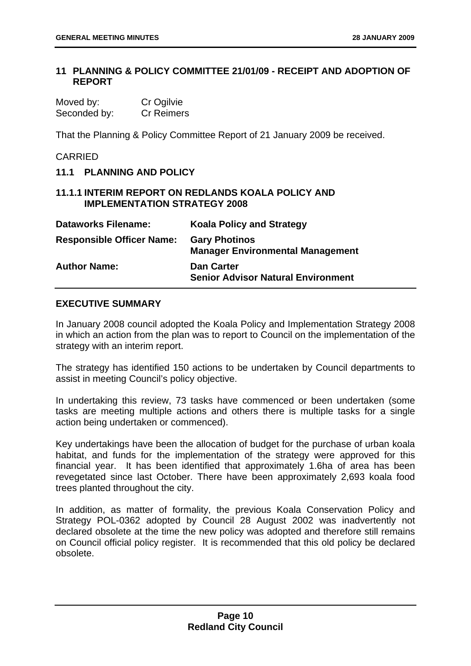#### <span id="page-12-0"></span>**11 PLANNING & POLICY COMMITTEE 21/01/09 - RECEIPT AND ADOPTION OF REPORT**

| Moved by:    | Cr Ogilvie        |
|--------------|-------------------|
| Seconded by: | <b>Cr Reimers</b> |

That the Planning & Policy Committee Report of 21 January 2009 be received.

#### CARRIED

| 11.1 PLANNING AND POLICY            |                                                                 |
|-------------------------------------|-----------------------------------------------------------------|
| <b>IMPLEMENTATION STRATEGY 2008</b> | <b>11.1.1 INTERIM REPORT ON REDLANDS KOALA POLICY AND</b>       |
| <b>Dataworks Filename:</b>          | <b>Koala Policy and Strategy</b>                                |
| <b>Responsible Officer Name:</b>    | <b>Gary Photinos</b><br><b>Manager Environmental Management</b> |
| <b>Author Name:</b>                 | Dan Carter                                                      |

#### **EXECUTIVE SUMMARY**

In January 2008 council adopted the Koala Policy and Implementation Strategy 2008 in which an action from the plan was to report to Council on the implementation of the strategy with an interim report.

**Senior Advisor Natural Environment** 

The strategy has identified 150 actions to be undertaken by Council departments to assist in meeting Council's policy objective.

In undertaking this review, 73 tasks have commenced or been undertaken (some tasks are meeting multiple actions and others there is multiple tasks for a single action being undertaken or commenced).

Key undertakings have been the allocation of budget for the purchase of urban koala habitat, and funds for the implementation of the strategy were approved for this financial year. It has been identified that approximately 1.6ha of area has been revegetated since last October. There have been approximately 2,693 koala food trees planted throughout the city.

In addition, as matter of formality, the previous Koala Conservation Policy and Strategy POL-0362 adopted by Council 28 August 2002 was inadvertently not declared obsolete at the time the new policy was adopted and therefore still remains on Council official policy register. It is recommended that this old policy be declared obsolete.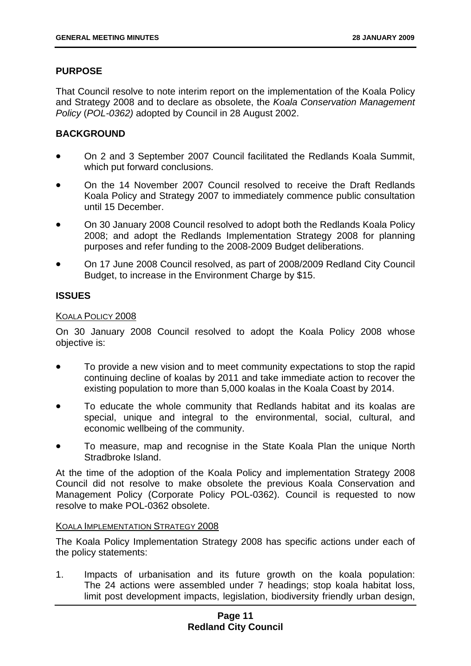#### **PURPOSE**

That Council resolve to note interim report on the implementation of the Koala Policy and Strategy 2008 and to declare as obsolete, the *Koala Conservation Management Policy* (*POL-0362)* adopted by Council in 28 August 2002.

#### **BACKGROUND**

- On 2 and 3 September 2007 Council facilitated the Redlands Koala Summit, which put forward conclusions.
- On the 14 November 2007 Council resolved to receive the Draft Redlands Koala Policy and Strategy 2007 to immediately commence public consultation until 15 December.
- On 30 January 2008 Council resolved to adopt both the Redlands Koala Policy 2008; and adopt the Redlands Implementation Strategy 2008 for planning purposes and refer funding to the 2008-2009 Budget deliberations.
- On 17 June 2008 Council resolved, as part of 2008/2009 Redland City Council Budget, to increase in the Environment Charge by \$15.

#### **ISSUES**

#### KOALA POLICY 2008

On 30 January 2008 Council resolved to adopt the Koala Policy 2008 whose objective is:

- To provide a new vision and to meet community expectations to stop the rapid continuing decline of koalas by 2011 and take immediate action to recover the existing population to more than 5,000 koalas in the Koala Coast by 2014.
- To educate the whole community that Redlands habitat and its koalas are special, unique and integral to the environmental, social, cultural, and economic wellbeing of the community.
- To measure, map and recognise in the State Koala Plan the unique North Stradbroke Island.

At the time of the adoption of the Koala Policy and implementation Strategy 2008 Council did not resolve to make obsolete the previous Koala Conservation and Management Policy (Corporate Policy POL-0362). Council is requested to now resolve to make POL-0362 obsolete.

#### KOALA IMPLEMENTATION STRATEGY 2008

The Koala Policy Implementation Strategy 2008 has specific actions under each of the policy statements:

1. Impacts of urbanisation and its future growth on the koala population: The 24 actions were assembled under 7 headings; stop koala habitat loss, limit post development impacts, legislation, biodiversity friendly urban design,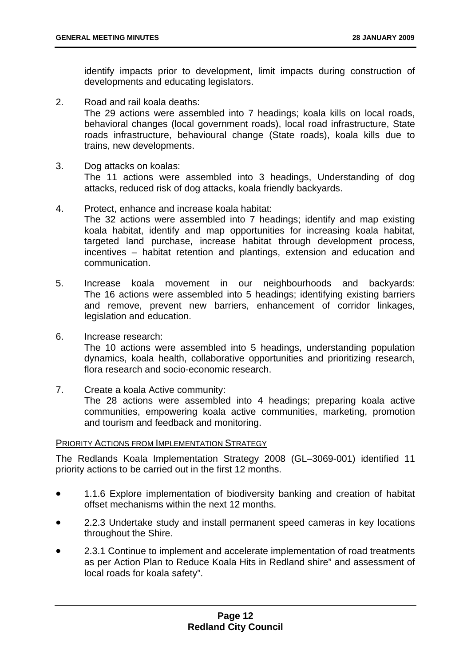identify impacts prior to development, limit impacts during construction of developments and educating legislators.

2. Road and rail koala deaths:

The 29 actions were assembled into 7 headings; koala kills on local roads, behavioral changes (local government roads), local road infrastructure, State roads infrastructure, behavioural change (State roads), koala kills due to trains, new developments.

3. Dog attacks on koalas:

The 11 actions were assembled into 3 headings, Understanding of dog attacks, reduced risk of dog attacks, koala friendly backyards.

- 4. Protect, enhance and increase koala habitat: The 32 actions were assembled into 7 headings; identify and map existing koala habitat, identify and map opportunities for increasing koala habitat, targeted land purchase, increase habitat through development process, incentives – habitat retention and plantings, extension and education and communication.
- 5. Increase koala movement in our neighbourhoods and backyards: The 16 actions were assembled into 5 headings; identifying existing barriers and remove, prevent new barriers, enhancement of corridor linkages, legislation and education.
- 6. Increase research:

The 10 actions were assembled into 5 headings, understanding population dynamics, koala health, collaborative opportunities and prioritizing research, flora research and socio-economic research.

7. Create a koala Active community: The 28 actions were assembled into 4 headings; preparing koala active communities, empowering koala active communities, marketing, promotion and tourism and feedback and monitoring.

#### PRIORITY ACTIONS FROM IMPLEMENTATION STRATEGY

The Redlands Koala Implementation Strategy 2008 (GL–3069-001) identified 11 priority actions to be carried out in the first 12 months.

- 1.1.6 Explore implementation of biodiversity banking and creation of habitat offset mechanisms within the next 12 months.
- 2.2.3 Undertake study and install permanent speed cameras in key locations throughout the Shire.
- 2.3.1 Continue to implement and accelerate implementation of road treatments as per Action Plan to Reduce Koala Hits in Redland shire" and assessment of local roads for koala safety".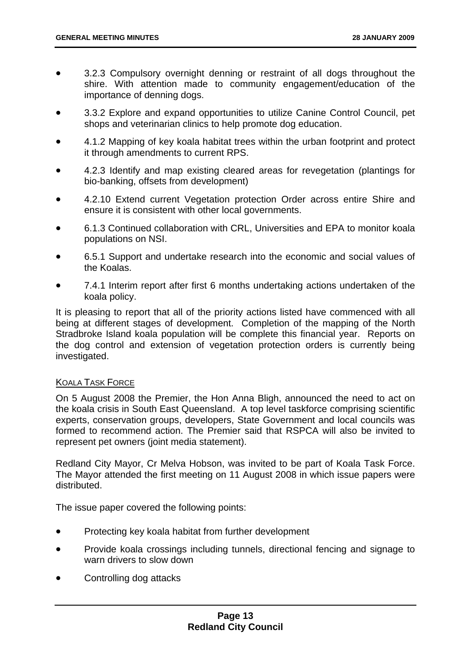- 3.2.3 Compulsory overnight denning or restraint of all dogs throughout the shire. With attention made to community engagement/education of the importance of denning dogs.
- 3.3.2 Explore and expand opportunities to utilize Canine Control Council, pet shops and veterinarian clinics to help promote dog education.
- 4.1.2 Mapping of key koala habitat trees within the urban footprint and protect it through amendments to current RPS.
- 4.2.3 Identify and map existing cleared areas for revegetation (plantings for bio-banking, offsets from development)
- 4.2.10 Extend current Vegetation protection Order across entire Shire and ensure it is consistent with other local governments.
- 6.1.3 Continued collaboration with CRL, Universities and EPA to monitor koala populations on NSI.
- 6.5.1 Support and undertake research into the economic and social values of the Koalas.
- 7.4.1 Interim report after first 6 months undertaking actions undertaken of the koala policy.

It is pleasing to report that all of the priority actions listed have commenced with all being at different stages of development. Completion of the mapping of the North Stradbroke Island koala population will be complete this financial year. Reports on the dog control and extension of vegetation protection orders is currently being investigated.

#### KOALA TASK FORCE

On 5 August 2008 the Premier, the Hon Anna Bligh, announced the need to act on the koala crisis in South East Queensland. A top level taskforce comprising scientific experts, conservation groups, developers, State Government and local councils was formed to recommend action. The Premier said that RSPCA will also be invited to represent pet owners (joint media statement).

Redland City Mayor, Cr Melva Hobson, was invited to be part of Koala Task Force. The Mayor attended the first meeting on 11 August 2008 in which issue papers were distributed.

The issue paper covered the following points:

- Protecting key koala habitat from further development
- Provide koala crossings including tunnels, directional fencing and signage to warn drivers to slow down
- Controlling dog attacks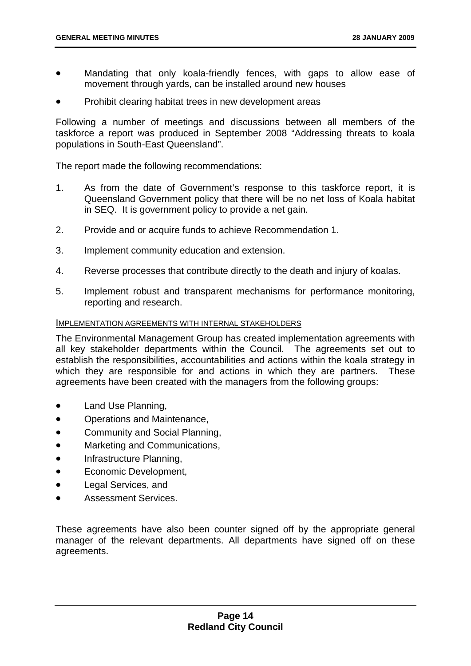- Mandating that only koala-friendly fences, with gaps to allow ease of movement through yards, can be installed around new houses
- Prohibit clearing habitat trees in new development areas

Following a number of meetings and discussions between all members of the taskforce a report was produced in September 2008 "Addressing threats to koala populations in South-East Queensland".

The report made the following recommendations:

- 1. As from the date of Government's response to this taskforce report, it is Queensland Government policy that there will be no net loss of Koala habitat in SEQ. It is government policy to provide a net gain.
- 2. Provide and or acquire funds to achieve Recommendation 1.
- 3. Implement community education and extension.
- 4. Reverse processes that contribute directly to the death and injury of koalas.
- 5. Implement robust and transparent mechanisms for performance monitoring, reporting and research.

#### IMPLEMENTATION AGREEMENTS WITH INTERNAL STAKEHOLDERS

The Environmental Management Group has created implementation agreements with all key stakeholder departments within the Council. The agreements set out to establish the responsibilities, accountabilities and actions within the koala strategy in which they are responsible for and actions in which they are partners. These agreements have been created with the managers from the following groups:

- Land Use Planning,
- Operations and Maintenance,
- Community and Social Planning,
- Marketing and Communications,
- Infrastructure Planning,
- Economic Development,
- Legal Services, and
- Assessment Services.

These agreements have also been counter signed off by the appropriate general manager of the relevant departments. All departments have signed off on these agreements.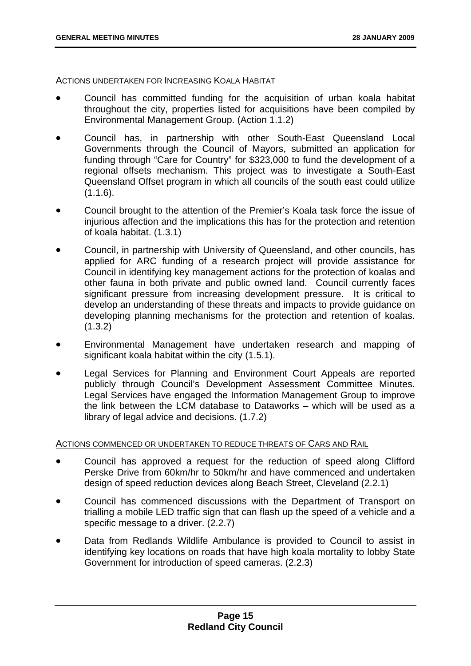#### ACTIONS UNDERTAKEN FOR INCREASING KOALA HABITAT

- Council has committed funding for the acquisition of urban koala habitat throughout the city, properties listed for acquisitions have been compiled by Environmental Management Group. (Action 1.1.2)
- Council has, in partnership with other South-East Queensland Local Governments through the Council of Mayors, submitted an application for funding through "Care for Country" for \$323,000 to fund the development of a regional offsets mechanism. This project was to investigate a South-East Queensland Offset program in which all councils of the south east could utilize  $(1.1.6)$ .
- Council brought to the attention of the Premier's Koala task force the issue of injurious affection and the implications this has for the protection and retention of koala habitat. (1.3.1)
- Council, in partnership with University of Queensland, and other councils, has applied for ARC funding of a research project will provide assistance for Council in identifying key management actions for the protection of koalas and other fauna in both private and public owned land. Council currently faces significant pressure from increasing development pressure. It is critical to develop an understanding of these threats and impacts to provide guidance on developing planning mechanisms for the protection and retention of koalas.  $(1.3.2)$
- Environmental Management have undertaken research and mapping of significant koala habitat within the city (1.5.1).
- Legal Services for Planning and Environment Court Appeals are reported publicly through Council's Development Assessment Committee Minutes. Legal Services have engaged the Information Management Group to improve the link between the LCM database to Dataworks – which will be used as a library of legal advice and decisions. (1.7.2)

#### ACTIONS COMMENCED OR UNDERTAKEN TO REDUCE THREATS OF CARS AND RAIL

- Council has approved a request for the reduction of speed along Clifford Perske Drive from 60km/hr to 50km/hr and have commenced and undertaken design of speed reduction devices along Beach Street, Cleveland (2.2.1)
- Council has commenced discussions with the Department of Transport on trialling a mobile LED traffic sign that can flash up the speed of a vehicle and a specific message to a driver. (2.2.7)
- Data from Redlands Wildlife Ambulance is provided to Council to assist in identifying key locations on roads that have high koala mortality to lobby State Government for introduction of speed cameras. (2.2.3)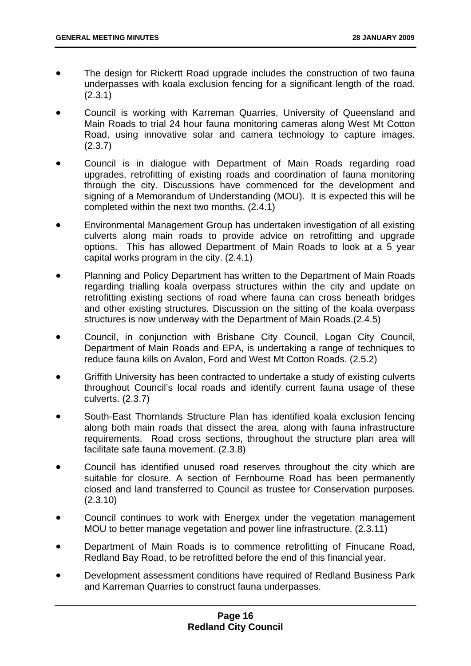- The design for Rickertt Road upgrade includes the construction of two fauna underpasses with koala exclusion fencing for a significant length of the road. (2.3.1)
- Council is working with Karreman Quarries, University of Queensland and Main Roads to trial 24 hour fauna monitoring cameras along West Mt Cotton Road, using innovative solar and camera technology to capture images. (2.3.7)
- Council is in dialogue with Department of Main Roads regarding road upgrades, retrofitting of existing roads and coordination of fauna monitoring through the city. Discussions have commenced for the development and signing of a Memorandum of Understanding (MOU). It is expected this will be completed within the next two months. (2.4.1)
- Environmental Management Group has undertaken investigation of all existing culverts along main roads to provide advice on retrofitting and upgrade options. This has allowed Department of Main Roads to look at a 5 year capital works program in the city. (2.4.1)
- Planning and Policy Department has written to the Department of Main Roads regarding trialling koala overpass structures within the city and update on retrofitting existing sections of road where fauna can cross beneath bridges and other existing structures. Discussion on the sitting of the koala overpass structures is now underway with the Department of Main Roads.(2.4.5)
- Council, in conjunction with Brisbane City Council, Logan City Council, Department of Main Roads and EPA, is undertaking a range of techniques to reduce fauna kills on Avalon, Ford and West Mt Cotton Roads. (2.5.2)
- Griffith University has been contracted to undertake a study of existing culverts throughout Council's local roads and identify current fauna usage of these culverts. (2.3.7)
- South-East Thornlands Structure Plan has identified koala exclusion fencing along both main roads that dissect the area, along with fauna infrastructure requirements. Road cross sections, throughout the structure plan area will facilitate safe fauna movement. (2.3.8)
- Council has identified unused road reserves throughout the city which are suitable for closure. A section of Fernbourne Road has been permanently closed and land transferred to Council as trustee for Conservation purposes. (2.3.10)
- Council continues to work with Energex under the vegetation management MOU to better manage vegetation and power line infrastructure. (2.3.11)
- Department of Main Roads is to commence retrofitting of Finucane Road, Redland Bay Road, to be retrofitted before the end of this financial year.
- Development assessment conditions have required of Redland Business Park and Karreman Quarries to construct fauna underpasses.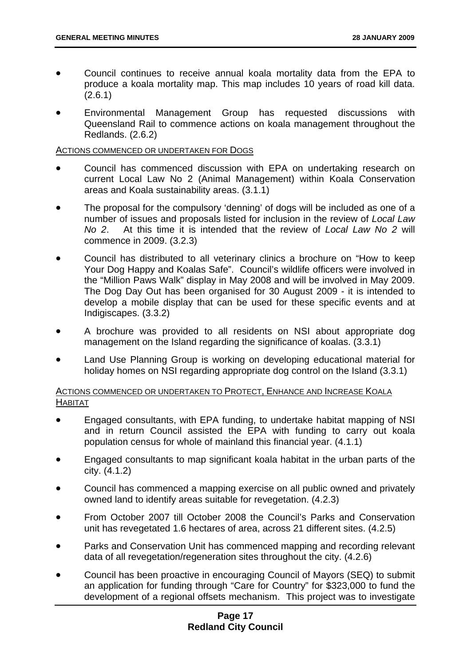- Council continues to receive annual koala mortality data from the EPA to produce a koala mortality map. This map includes 10 years of road kill data. (2.6.1)
- Environmental Management Group has requested discussions with Queensland Rail to commence actions on koala management throughout the Redlands. (2.6.2)

#### ACTIONS COMMENCED OR UNDERTAKEN FOR DOGS

- Council has commenced discussion with EPA on undertaking research on current Local Law No 2 (Animal Management) within Koala Conservation areas and Koala sustainability areas. (3.1.1)
- The proposal for the compulsory 'denning' of dogs will be included as one of a number of issues and proposals listed for inclusion in the review of *Local Law No 2*. At this time it is intended that the review of *Local Law No 2* will commence in 2009. (3.2.3)
- Council has distributed to all veterinary clinics a brochure on "How to keep Your Dog Happy and Koalas Safe". Council's wildlife officers were involved in the "Million Paws Walk" display in May 2008 and will be involved in May 2009. The Dog Day Out has been organised for 30 August 2009 - it is intended to develop a mobile display that can be used for these specific events and at Indigiscapes. (3.3.2)
- A brochure was provided to all residents on NSI about appropriate dog management on the Island regarding the significance of koalas. (3.3.1)
- Land Use Planning Group is working on developing educational material for holiday homes on NSI regarding appropriate dog control on the Island (3.3.1)

#### ACTIONS COMMENCED OR UNDERTAKEN TO PROTECT, ENHANCE AND INCREASE KOALA **HABITAT**

- Engaged consultants, with EPA funding, to undertake habitat mapping of NSI and in return Council assisted the EPA with funding to carry out koala population census for whole of mainland this financial year. (4.1.1)
- Engaged consultants to map significant koala habitat in the urban parts of the city. (4.1.2)
- Council has commenced a mapping exercise on all public owned and privately owned land to identify areas suitable for revegetation. (4.2.3)
- From October 2007 till October 2008 the Council's Parks and Conservation unit has revegetated 1.6 hectares of area, across 21 different sites. (4.2.5)
- Parks and Conservation Unit has commenced mapping and recording relevant data of all revegetation/regeneration sites throughout the city. (4.2.6)
- Council has been proactive in encouraging Council of Mayors (SEQ) to submit an application for funding through "Care for Country" for \$323,000 to fund the development of a regional offsets mechanism. This project was to investigate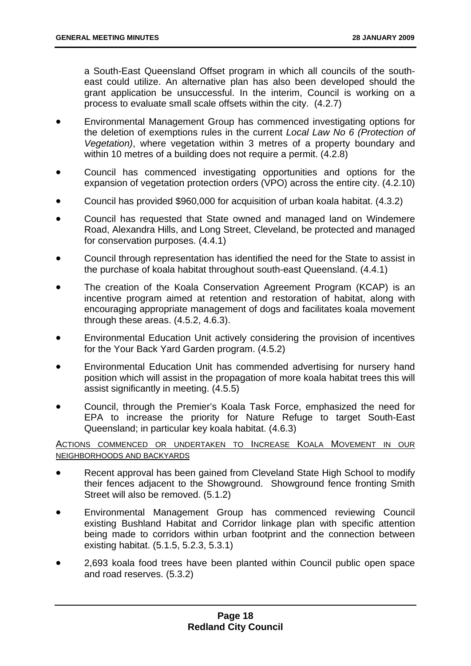a South-East Queensland Offset program in which all councils of the southeast could utilize. An alternative plan has also been developed should the grant application be unsuccessful. In the interim, Council is working on a process to evaluate small scale offsets within the city. (4.2.7)

- Environmental Management Group has commenced investigating options for the deletion of exemptions rules in the current *Local Law No 6 (Protection of Vegetation)*, where vegetation within 3 metres of a property boundary and within 10 metres of a building does not require a permit. (4.2.8)
- Council has commenced investigating opportunities and options for the expansion of vegetation protection orders (VPO) across the entire city. (4.2.10)
- Council has provided \$960,000 for acquisition of urban koala habitat. (4.3.2)
- Council has requested that State owned and managed land on Windemere Road, Alexandra Hills, and Long Street, Cleveland, be protected and managed for conservation purposes. (4.4.1)
- Council through representation has identified the need for the State to assist in the purchase of koala habitat throughout south-east Queensland. (4.4.1)
- The creation of the Koala Conservation Agreement Program (KCAP) is an incentive program aimed at retention and restoration of habitat, along with encouraging appropriate management of dogs and facilitates koala movement through these areas. (4.5.2, 4.6.3).
- Environmental Education Unit actively considering the provision of incentives for the Your Back Yard Garden program. (4.5.2)
- Environmental Education Unit has commended advertising for nursery hand position which will assist in the propagation of more koala habitat trees this will assist significantly in meeting. (4.5.5)
- Council, through the Premier's Koala Task Force, emphasized the need for EPA to increase the priority for Nature Refuge to target South-East Queensland; in particular key koala habitat. (4.6.3)

#### ACTIONS COMMENCED OR UNDERTAKEN TO INCREASE KOALA MOVEMENT IN OUR NEIGHBORHOODS AND BACKYARDS

- Recent approval has been gained from Cleveland State High School to modify their fences adjacent to the Showground. Showground fence fronting Smith Street will also be removed. (5.1.2)
- Environmental Management Group has commenced reviewing Council existing Bushland Habitat and Corridor linkage plan with specific attention being made to corridors within urban footprint and the connection between existing habitat. (5.1.5, 5.2.3, 5.3.1)
- 2,693 koala food trees have been planted within Council public open space and road reserves. (5.3.2)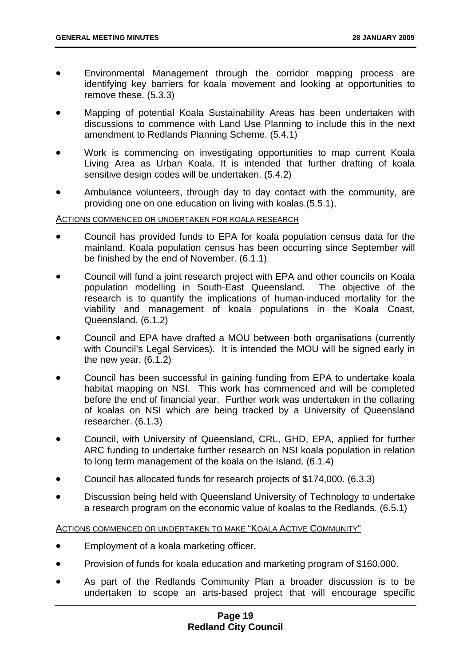- Environmental Management through the corridor mapping process are identifying key barriers for koala movement and looking at opportunities to remove these. (5.3.3)
- Mapping of potential Koala Sustainability Areas has been undertaken with discussions to commence with Land Use Planning to include this in the next amendment to Redlands Planning Scheme. (5.4.1)
- Work is commencing on investigating opportunities to map current Koala Living Area as Urban Koala. It is intended that further drafting of koala sensitive design codes will be undertaken. (5.4.2)
- Ambulance volunteers, through day to day contact with the community, are providing one on one education on living with koalas.(5.5.1),

#### ACTIONS COMMENCED OR UNDERTAKEN FOR KOALA RESEARCH

- Council has provided funds to EPA for koala population census data for the mainland. Koala population census has been occurring since September will be finished by the end of November. (6.1.1)
- Council will fund a joint research project with EPA and other councils on Koala population modelling in South-East Queensland. The objective of the research is to quantify the implications of human-induced mortality for the viability and management of koala populations in the Koala Coast, Queensland. (6.1.2)
- Council and EPA have drafted a MOU between both organisations (currently with Council's Legal Services). It is intended the MOU will be signed early in the new year. (6.1.2)
- Council has been successful in gaining funding from EPA to undertake koala habitat mapping on NSI. This work has commenced and will be completed before the end of financial year. Further work was undertaken in the collaring of koalas on NSI which are being tracked by a University of Queensland researcher. (6.1.3)
- Council, with University of Queensland, CRL, GHD, EPA, applied for further ARC funding to undertake further research on NSI koala population in relation to long term management of the koala on the Island. (6.1.4)
- Council has allocated funds for research projects of \$174,000. (6.3.3)
- Discussion being held with Queensland University of Technology to undertake a research program on the economic value of koalas to the Redlands. (6.5.1)

#### ACTIONS COMMENCED OR UNDERTAKEN TO MAKE "KOALA ACTIVE COMMUNITY"

- Employment of a koala marketing officer.
- Provision of funds for koala education and marketing program of \$160,000.
- As part of the Redlands Community Plan a broader discussion is to be undertaken to scope an arts-based project that will encourage specific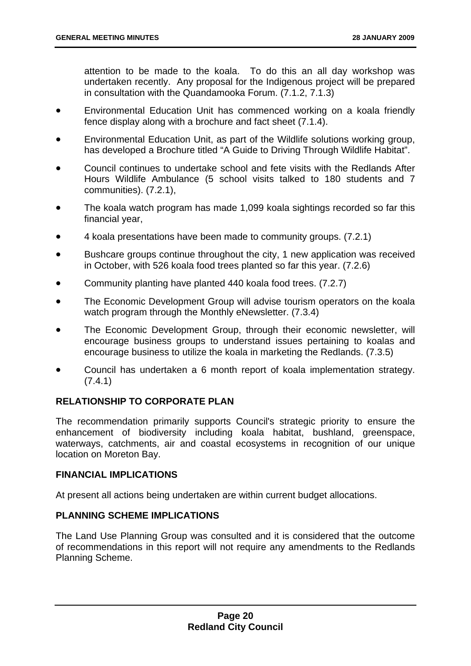attention to be made to the koala. To do this an all day workshop was undertaken recently. Any proposal for the Indigenous project will be prepared in consultation with the Quandamooka Forum. (7.1.2, 7.1.3)

- Environmental Education Unit has commenced working on a koala friendly fence display along with a brochure and fact sheet (7.1.4).
- Environmental Education Unit, as part of the Wildlife solutions working group, has developed a Brochure titled "A Guide to Driving Through Wildlife Habitat".
- Council continues to undertake school and fete visits with the Redlands After Hours Wildlife Ambulance (5 school visits talked to 180 students and 7 communities). (7.2.1),
- The koala watch program has made 1,099 koala sightings recorded so far this financial year,
- 4 koala presentations have been made to community groups. (7.2.1)
- Bushcare groups continue throughout the city, 1 new application was received in October, with 526 koala food trees planted so far this year. (7.2.6)
- Community planting have planted 440 koala food trees. (7.2.7)
- The Economic Development Group will advise tourism operators on the koala watch program through the Monthly eNewsletter. (7.3.4)
- The Economic Development Group, through their economic newsletter, will encourage business groups to understand issues pertaining to koalas and encourage business to utilize the koala in marketing the Redlands. (7.3.5)
- Council has undertaken a 6 month report of koala implementation strategy. (7.4.1)

#### **RELATIONSHIP TO CORPORATE PLAN**

The recommendation primarily supports Council's strategic priority to ensure the enhancement of biodiversity including koala habitat, bushland, greenspace, waterways, catchments, air and coastal ecosystems in recognition of our unique location on Moreton Bay.

#### **FINANCIAL IMPLICATIONS**

At present all actions being undertaken are within current budget allocations.

#### **PLANNING SCHEME IMPLICATIONS**

The Land Use Planning Group was consulted and it is considered that the outcome of recommendations in this report will not require any amendments to the Redlands Planning Scheme.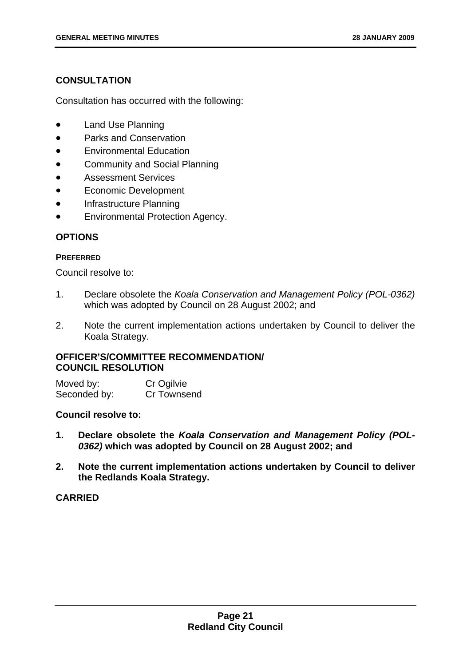#### **CONSULTATION**

Consultation has occurred with the following:

- Land Use Planning
- Parks and Conservation
- Environmental Education
- Community and Social Planning
- Assessment Services
- Economic Development
- Infrastructure Planning
- Environmental Protection Agency.

#### **OPTIONS**

#### **PREFERRED**

Council resolve to:

- 1. Declare obsolete the *Koala Conservation and Management Policy (POL-0362)* which was adopted by Council on 28 August 2002; and
- 2. Note the current implementation actions undertaken by Council to deliver the Koala Strategy.

#### **OFFICER'S/COMMITTEE RECOMMENDATION/ COUNCIL RESOLUTION**

| Moved by:    | Cr Ogilvie  |  |
|--------------|-------------|--|
| Seconded by: | Cr Townsend |  |

#### **Council resolve to:**

- **1. Declare obsolete the** *Koala Conservation and Management Policy (POL-0362)* **which was adopted by Council on 28 August 2002; and**
- **2. Note the current implementation actions undertaken by Council to deliver the Redlands Koala Strategy.**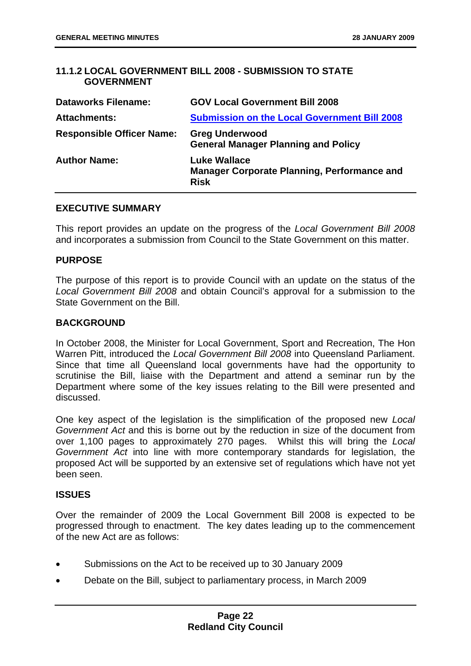#### <span id="page-24-0"></span>**11.1.2 LOCAL GOVERNMENT BILL 2008 - SUBMISSION TO STATE GOVERNMENT**

| <b>Dataworks Filename:</b>       | <b>GOV Local Government Bill 2008</b>                                                    |
|----------------------------------|------------------------------------------------------------------------------------------|
| <b>Attachments:</b>              | <b>Submission on the Local Government Bill 2008</b>                                      |
| <b>Responsible Officer Name:</b> | <b>Greg Underwood</b><br><b>General Manager Planning and Policy</b>                      |
| <b>Author Name:</b>              | <b>Luke Wallace</b><br><b>Manager Corporate Planning, Performance and</b><br><b>Risk</b> |

#### **EXECUTIVE SUMMARY**

This report provides an update on the progress of the *Local Government Bill 2008* and incorporates a submission from Council to the State Government on this matter.

#### **PURPOSE**

The purpose of this report is to provide Council with an update on the status of the *Local Government Bill 2008* and obtain Council's approval for a submission to the State Government on the Bill.

#### **BACKGROUND**

In October 2008, the Minister for Local Government, Sport and Recreation, The Hon Warren Pitt, introduced the *Local Government Bill 2008* into Queensland Parliament. Since that time all Queensland local governments have had the opportunity to scrutinise the Bill, liaise with the Department and attend a seminar run by the Department where some of the key issues relating to the Bill were presented and discussed.

One key aspect of the legislation is the simplification of the proposed new *Local Government Act* and this is borne out by the reduction in size of the document from over 1,100 pages to approximately 270 pages. Whilst this will bring the *Local Government Act* into line with more contemporary standards for legislation, the proposed Act will be supported by an extensive set of regulations which have not yet been seen.

#### **ISSUES**

Over the remainder of 2009 the Local Government Bill 2008 is expected to be progressed through to enactment. The key dates leading up to the commencement of the new Act are as follows:

- Submissions on the Act to be received up to 30 January 2009
- Debate on the Bill, subject to parliamentary process, in March 2009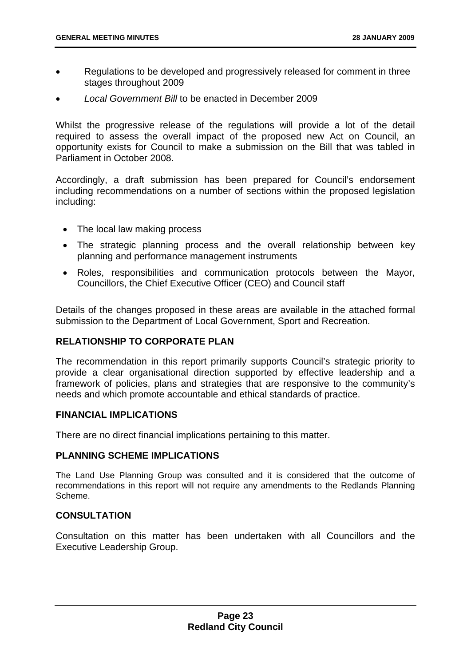- Regulations to be developed and progressively released for comment in three stages throughout 2009
- *Local Government Bill* to be enacted in December 2009

Whilst the progressive release of the regulations will provide a lot of the detail required to assess the overall impact of the proposed new Act on Council, an opportunity exists for Council to make a submission on the Bill that was tabled in Parliament in October 2008.

Accordingly, a draft submission has been prepared for Council's endorsement including recommendations on a number of sections within the proposed legislation including:

- The local law making process
- The strategic planning process and the overall relationship between key planning and performance management instruments
- Roles, responsibilities and communication protocols between the Mayor, Councillors, the Chief Executive Officer (CEO) and Council staff

Details of the changes proposed in these areas are available in the attached formal submission to the Department of Local Government, Sport and Recreation.

#### **RELATIONSHIP TO CORPORATE PLAN**

The recommendation in this report primarily supports Council's strategic priority to provide a clear organisational direction supported by effective leadership and a framework of policies, plans and strategies that are responsive to the community's needs and which promote accountable and ethical standards of practice.

#### **FINANCIAL IMPLICATIONS**

There are no direct financial implications pertaining to this matter.

#### **PLANNING SCHEME IMPLICATIONS**

The Land Use Planning Group was consulted and it is considered that the outcome of recommendations in this report will not require any amendments to the Redlands Planning Scheme.

#### **CONSULTATION**

Consultation on this matter has been undertaken with all Councillors and the Executive Leadership Group.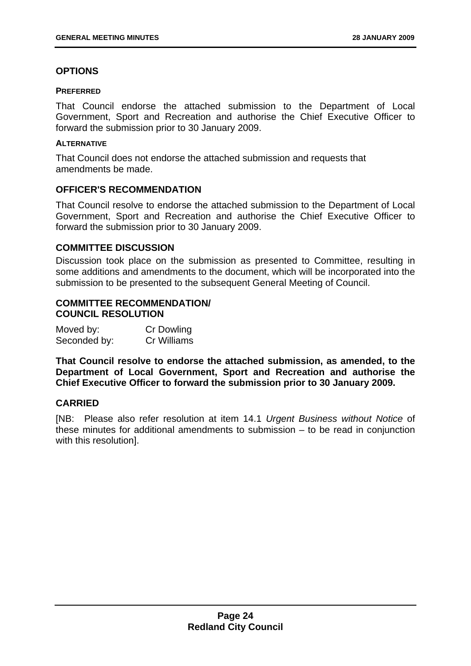#### **OPTIONS**

#### **PREFERRED**

That Council endorse the attached submission to the Department of Local Government, Sport and Recreation and authorise the Chief Executive Officer to forward the submission prior to 30 January 2009.

#### **ALTERNATIVE**

That Council does not endorse the attached submission and requests that amendments be made.

#### **OFFICER'S RECOMMENDATION**

That Council resolve to endorse the attached submission to the Department of Local Government, Sport and Recreation and authorise the Chief Executive Officer to forward the submission prior to 30 January 2009.

#### **COMMITTEE DISCUSSION**

Discussion took place on the submission as presented to Committee, resulting in some additions and amendments to the document, which will be incorporated into the submission to be presented to the subsequent General Meeting of Council.

#### **COMMITTEE RECOMMENDATION/ COUNCIL RESOLUTION**

| Moved by:    | Cr Dowling  |
|--------------|-------------|
| Seconded by: | Cr Williams |

**That Council resolve to endorse the attached submission, as amended, to the Department of Local Government, Sport and Recreation and authorise the Chief Executive Officer to forward the submission prior to 30 January 2009.** 

#### **CARRIED**

[NB: Please also refer resolution at item 14.1 *Urgent Business without Notice* of these minutes for additional amendments to submission – to be read in conjunction with this resolution].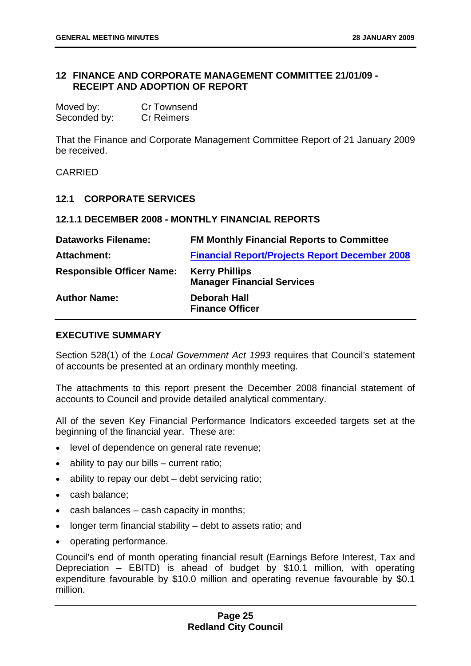#### <span id="page-27-0"></span>**12 FINANCE AND CORPORATE MANAGEMENT COMMITTEE 21/01/09 - RECEIPT AND ADOPTION OF REPORT**

| Moved by:    | <b>Cr Townsend</b> |
|--------------|--------------------|
| Seconded by: | <b>Cr Reimers</b>  |

That the Finance and Corporate Management Committee Report of 21 January 2009 be received.

CARRIED

#### **12.1 CORPORATE SERVICES**

#### **12.1.1 DECEMBER 2008 - MONTHLY FINANCIAL REPORTS**

| <b>Dataworks Filename:</b>       | <b>FM Monthly Financial Reports to Committee</b>           |
|----------------------------------|------------------------------------------------------------|
| Attachment:                      | <b>Financial Report/Projects Report December 2008</b>      |
| <b>Responsible Officer Name:</b> | <b>Kerry Phillips</b><br><b>Manager Financial Services</b> |
| <b>Author Name:</b>              | <b>Deborah Hall</b><br><b>Finance Officer</b>              |

#### **EXECUTIVE SUMMARY**

Section 528(1) of the *Local Government Act 1993* requires that Council's statement of accounts be presented at an ordinary monthly meeting.

The attachments to this report present the December 2008 financial statement of accounts to Council and provide detailed analytical commentary.

All of the seven Key Financial Performance Indicators exceeded targets set at the beginning of the financial year. These are:

- level of dependence on general rate revenue;
- ability to pay our bills current ratio:
- ability to repay our debt debt servicing ratio;
- cash balance;
- cash balances cash capacity in months;
- longer term financial stability debt to assets ratio; and
- operating performance.

Council's end of month operating financial result (Earnings Before Interest, Tax and Depreciation – EBITD) is ahead of budget by \$10.1 million, with operating expenditure favourable by \$10.0 million and operating revenue favourable by \$0.1 million.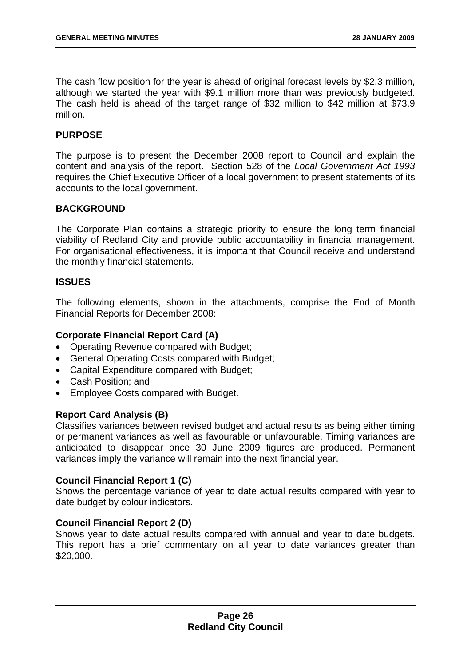The cash flow position for the year is ahead of original forecast levels by \$2.3 million, although we started the year with \$9.1 million more than was previously budgeted. The cash held is ahead of the target range of \$32 million to \$42 million at \$73.9 million.

#### **PURPOSE**

The purpose is to present the December 2008 report to Council and explain the content and analysis of the report. Section 528 of the *Local Government Act 1993* requires the Chief Executive Officer of a local government to present statements of its accounts to the local government.

#### **BACKGROUND**

The Corporate Plan contains a strategic priority to ensure the long term financial viability of Redland City and provide public accountability in financial management. For organisational effectiveness, it is important that Council receive and understand the monthly financial statements.

#### **ISSUES**

The following elements, shown in the attachments, comprise the End of Month Financial Reports for December 2008:

#### **Corporate Financial Report Card (A)**

- Operating Revenue compared with Budget;
- General Operating Costs compared with Budget;
- Capital Expenditure compared with Budget;
- Cash Position; and
- Employee Costs compared with Budget.

#### **Report Card Analysis (B)**

Classifies variances between revised budget and actual results as being either timing or permanent variances as well as favourable or unfavourable. Timing variances are anticipated to disappear once 30 June 2009 figures are produced. Permanent variances imply the variance will remain into the next financial year.

#### **Council Financial Report 1 (C)**

Shows the percentage variance of year to date actual results compared with year to date budget by colour indicators.

#### **Council Financial Report 2 (D)**

Shows year to date actual results compared with annual and year to date budgets. This report has a brief commentary on all year to date variances greater than \$20,000.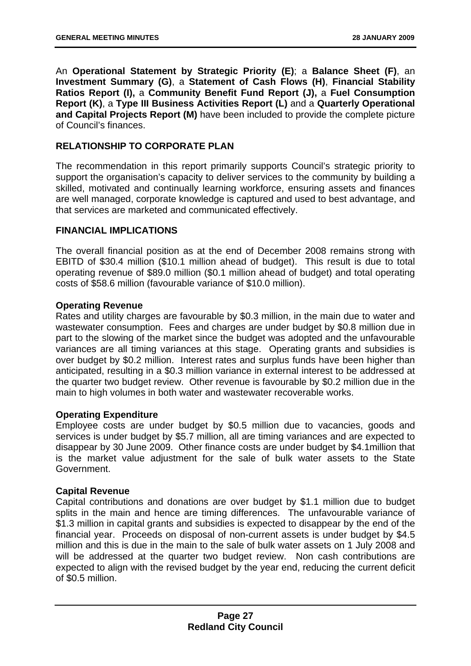An **Operational Statement by Strategic Priority (E)**; a **Balance Sheet (F)**, an **Investment Summary (G)**, a **Statement of Cash Flows (H)**, **Financial Stability Ratios Report (I),** a **Community Benefit Fund Report (J),** a **Fuel Consumption Report (K)**, a **Type III Business Activities Report (L)** and a **Quarterly Operational and Capital Projects Report (M)** have been included to provide the complete picture of Council's finances.

#### **RELATIONSHIP TO CORPORATE PLAN**

The recommendation in this report primarily supports Council's strategic priority to support the organisation's capacity to deliver services to the community by building a skilled, motivated and continually learning workforce, ensuring assets and finances are well managed, corporate knowledge is captured and used to best advantage, and that services are marketed and communicated effectively.

#### **FINANCIAL IMPLICATIONS**

The overall financial position as at the end of December 2008 remains strong with EBITD of \$30.4 million (\$10.1 million ahead of budget). This result is due to total operating revenue of \$89.0 million (\$0.1 million ahead of budget) and total operating costs of \$58.6 million (favourable variance of \$10.0 million).

#### **Operating Revenue**

Rates and utility charges are favourable by \$0.3 million, in the main due to water and wastewater consumption. Fees and charges are under budget by \$0.8 million due in part to the slowing of the market since the budget was adopted and the unfavourable variances are all timing variances at this stage. Operating grants and subsidies is over budget by \$0.2 million. Interest rates and surplus funds have been higher than anticipated, resulting in a \$0.3 million variance in external interest to be addressed at the quarter two budget review. Other revenue is favourable by \$0.2 million due in the main to high volumes in both water and wastewater recoverable works.

#### **Operating Expenditure**

Employee costs are under budget by \$0.5 million due to vacancies, goods and services is under budget by \$5.7 million, all are timing variances and are expected to disappear by 30 June 2009. Other finance costs are under budget by \$4.1million that is the market value adjustment for the sale of bulk water assets to the State Government.

#### **Capital Revenue**

Capital contributions and donations are over budget by \$1.1 million due to budget splits in the main and hence are timing differences. The unfavourable variance of \$1.3 million in capital grants and subsidies is expected to disappear by the end of the financial year. Proceeds on disposal of non-current assets is under budget by \$4.5 million and this is due in the main to the sale of bulk water assets on 1 July 2008 and will be addressed at the quarter two budget review. Non cash contributions are expected to align with the revised budget by the year end, reducing the current deficit of \$0.5 million.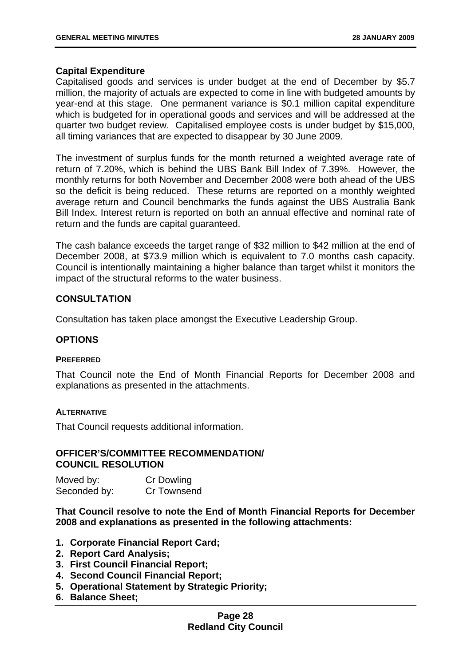#### **Capital Expenditure**

Capitalised goods and services is under budget at the end of December by \$5.7 million, the majority of actuals are expected to come in line with budgeted amounts by year-end at this stage. One permanent variance is \$0.1 million capital expenditure which is budgeted for in operational goods and services and will be addressed at the quarter two budget review. Capitalised employee costs is under budget by \$15,000, all timing variances that are expected to disappear by 30 June 2009.

The investment of surplus funds for the month returned a weighted average rate of return of 7.20%, which is behind the UBS Bank Bill Index of 7.39%. However, the monthly returns for both November and December 2008 were both ahead of the UBS so the deficit is being reduced. These returns are reported on a monthly weighted average return and Council benchmarks the funds against the UBS Australia Bank Bill Index. Interest return is reported on both an annual effective and nominal rate of return and the funds are capital guaranteed.

The cash balance exceeds the target range of \$32 million to \$42 million at the end of December 2008, at \$73.9 million which is equivalent to 7.0 months cash capacity. Council is intentionally maintaining a higher balance than target whilst it monitors the impact of the structural reforms to the water business.

#### **CONSULTATION**

Consultation has taken place amongst the Executive Leadership Group.

#### **OPTIONS**

#### **PREFERRED**

That Council note the End of Month Financial Reports for December 2008 and explanations as presented in the attachments.

#### **ALTERNATIVE**

That Council requests additional information.

#### **OFFICER'S/COMMITTEE RECOMMENDATION/ COUNCIL RESOLUTION**

Moved by: Cr Dowling Seconded by: Cr Townsend

**That Council resolve to note the End of Month Financial Reports for December 2008 and explanations as presented in the following attachments:** 

- **1. Corporate Financial Report Card;**
- **2. Report Card Analysis;**
- **3. First Council Financial Report;**
- **4. Second Council Financial Report;**
- **5. Operational Statement by Strategic Priority;**
- **6. Balance Sheet;**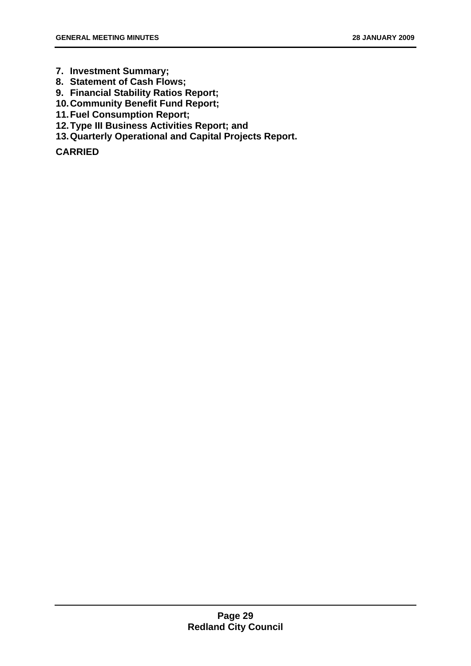- **7. Investment Summary;**
- **8. Statement of Cash Flows;**
- **9. Financial Stability Ratios Report;**
- **10. Community Benefit Fund Report;**
- **11. Fuel Consumption Report;**
- **12. Type III Business Activities Report; and**
- **13. Quarterly Operational and Capital Projects Report.**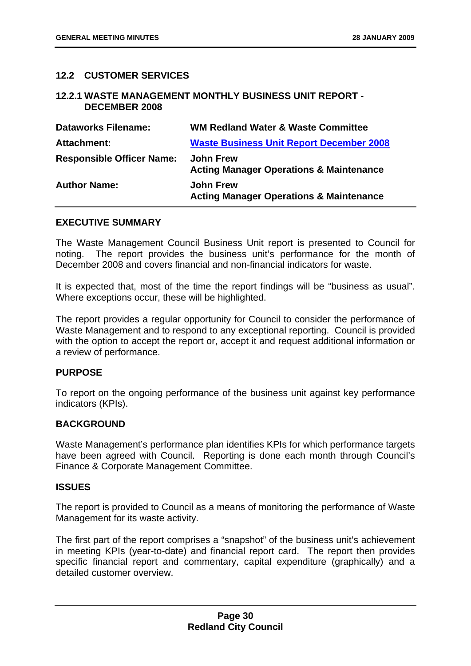#### <span id="page-32-0"></span>**12.2 CUSTOMER SERVICES**

#### **12.2.1 WASTE MANAGEMENT MONTHLY BUSINESS UNIT REPORT - DECEMBER 2008**

| <b>Dataworks Filename:</b>       | <b>WM Redland Water &amp; Waste Committee</b>                          |
|----------------------------------|------------------------------------------------------------------------|
| <b>Attachment:</b>               | <b>Waste Business Unit Report December 2008</b>                        |
| <b>Responsible Officer Name:</b> | <b>John Frew</b><br><b>Acting Manager Operations &amp; Maintenance</b> |
| <b>Author Name:</b>              | <b>John Frew</b><br><b>Acting Manager Operations &amp; Maintenance</b> |

#### **EXECUTIVE SUMMARY**

The Waste Management Council Business Unit report is presented to Council for noting. The report provides the business unit's performance for the month of December 2008 and covers financial and non-financial indicators for waste.

It is expected that, most of the time the report findings will be "business as usual". Where exceptions occur, these will be highlighted.

The report provides a regular opportunity for Council to consider the performance of Waste Management and to respond to any exceptional reporting. Council is provided with the option to accept the report or, accept it and request additional information or a review of performance.

#### **PURPOSE**

To report on the ongoing performance of the business unit against key performance indicators (KPIs).

#### **BACKGROUND**

Waste Management's performance plan identifies KPIs for which performance targets have been agreed with Council. Reporting is done each month through Council's Finance & Corporate Management Committee.

#### **ISSUES**

The report is provided to Council as a means of monitoring the performance of Waste Management for its waste activity.

The first part of the report comprises a "snapshot" of the business unit's achievement in meeting KPIs (year-to-date) and financial report card. The report then provides specific financial report and commentary, capital expenditure (graphically) and a detailed customer overview.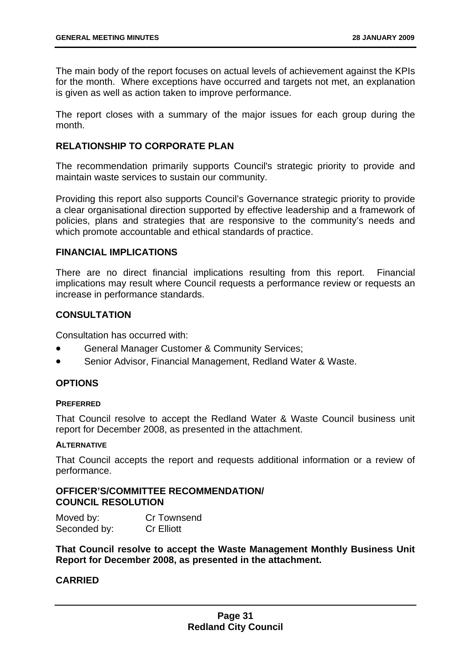The main body of the report focuses on actual levels of achievement against the KPIs for the month. Where exceptions have occurred and targets not met, an explanation is given as well as action taken to improve performance.

The report closes with a summary of the major issues for each group during the month.

#### **RELATIONSHIP TO CORPORATE PLAN**

The recommendation primarily supports Council's strategic priority to provide and maintain waste services to sustain our community.

Providing this report also supports Council's Governance strategic priority to provide a clear organisational direction supported by effective leadership and a framework of policies, plans and strategies that are responsive to the community's needs and which promote accountable and ethical standards of practice.

#### **FINANCIAL IMPLICATIONS**

There are no direct financial implications resulting from this report. Financial implications may result where Council requests a performance review or requests an increase in performance standards.

#### **CONSULTATION**

Consultation has occurred with:

- General Manager Customer & Community Services;
- Senior Advisor, Financial Management, Redland Water & Waste.

#### **OPTIONS**

#### **PREFERRED**

That Council resolve to accept the Redland Water & Waste Council business unit report for December 2008, as presented in the attachment.

#### **ALTERNATIVE**

That Council accepts the report and requests additional information or a review of performance.

#### **OFFICER'S/COMMITTEE RECOMMENDATION/ COUNCIL RESOLUTION**

Moved by: Cr Townsend Seconded by: Cr Elliott

**That Council resolve to accept the Waste Management Monthly Business Unit Report for December 2008, as presented in the attachment.**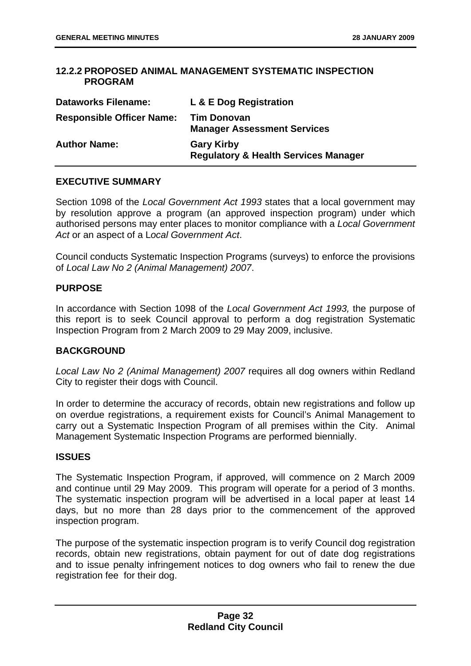#### <span id="page-34-0"></span>**12.2.2 PROPOSED ANIMAL MANAGEMENT SYSTEMATIC INSPECTION PROGRAM**

| <b>Dataworks Filename:</b>       | L & E Dog Registration                                               |
|----------------------------------|----------------------------------------------------------------------|
| <b>Responsible Officer Name:</b> | <b>Tim Donovan</b><br><b>Manager Assessment Services</b>             |
| <b>Author Name:</b>              | <b>Gary Kirby</b><br><b>Regulatory &amp; Health Services Manager</b> |

#### **EXECUTIVE SUMMARY**

Section 1098 of the *Local Government Act 1993* states that a local government may by resolution approve a program (an approved inspection program) under which authorised persons may enter places to monitor compliance with a *Local Government Act* or an aspect of a L*ocal Government Act*.

Council conducts Systematic Inspection Programs (surveys) to enforce the provisions of *Local Law No 2 (Animal Management) 2007*.

#### **PURPOSE**

In accordance with Section 1098 of the *Local Government Act 1993,* the purpose of this report is to seek Council approval to perform a dog registration Systematic Inspection Program from 2 March 2009 to 29 May 2009, inclusive.

#### **BACKGROUND**

*Local Law No 2 (Animal Management) 2007* requires all dog owners within Redland City to register their dogs with Council.

In order to determine the accuracy of records, obtain new registrations and follow up on overdue registrations, a requirement exists for Council's Animal Management to carry out a Systematic Inspection Program of all premises within the City. Animal Management Systematic Inspection Programs are performed biennially.

#### **ISSUES**

The Systematic Inspection Program, if approved, will commence on 2 March 2009 and continue until 29 May 2009. This program will operate for a period of 3 months. The systematic inspection program will be advertised in a local paper at least 14 days, but no more than 28 days prior to the commencement of the approved inspection program.

The purpose of the systematic inspection program is to verify Council dog registration records, obtain new registrations, obtain payment for out of date dog registrations and to issue penalty infringement notices to dog owners who fail to renew the due registration fee for their dog.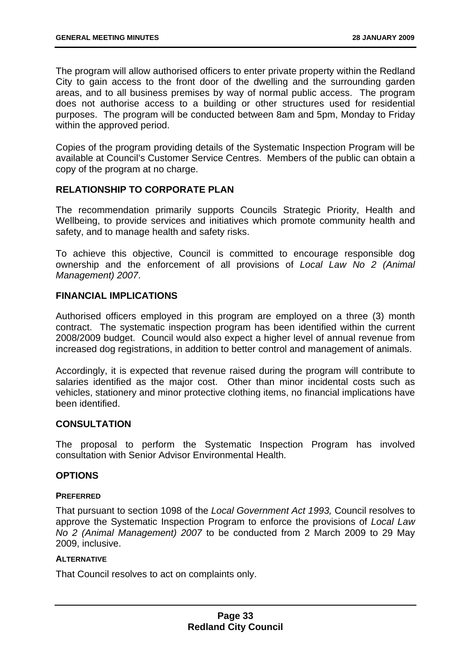The program will allow authorised officers to enter private property within the Redland City to gain access to the front door of the dwelling and the surrounding garden areas, and to all business premises by way of normal public access. The program does not authorise access to a building or other structures used for residential purposes. The program will be conducted between 8am and 5pm, Monday to Friday within the approved period.

Copies of the program providing details of the Systematic Inspection Program will be available at Council's Customer Service Centres. Members of the public can obtain a copy of the program at no charge.

#### **RELATIONSHIP TO CORPORATE PLAN**

The recommendation primarily supports Councils Strategic Priority, Health and Wellbeing, to provide services and initiatives which promote community health and safety, and to manage health and safety risks.

To achieve this objective, Council is committed to encourage responsible dog ownership and the enforcement of all provisions of *Local Law No 2 (Animal Management) 2007*.

#### **FINANCIAL IMPLICATIONS**

Authorised officers employed in this program are employed on a three (3) month contract. The systematic inspection program has been identified within the current 2008/2009 budget. Council would also expect a higher level of annual revenue from increased dog registrations, in addition to better control and management of animals.

Accordingly, it is expected that revenue raised during the program will contribute to salaries identified as the major cost. Other than minor incidental costs such as vehicles, stationery and minor protective clothing items, no financial implications have been identified.

#### **CONSULTATION**

The proposal to perform the Systematic Inspection Program has involved consultation with Senior Advisor Environmental Health.

#### **OPTIONS**

#### **PREFERRED**

That pursuant to section 1098 of the *Local Government Act 1993,* Council resolves to approve the Systematic Inspection Program to enforce the provisions of *Local Law No 2 (Animal Management) 2007* to be conducted from 2 March 2009 to 29 May 2009, inclusive.

#### **ALTERNATIVE**

That Council resolves to act on complaints only.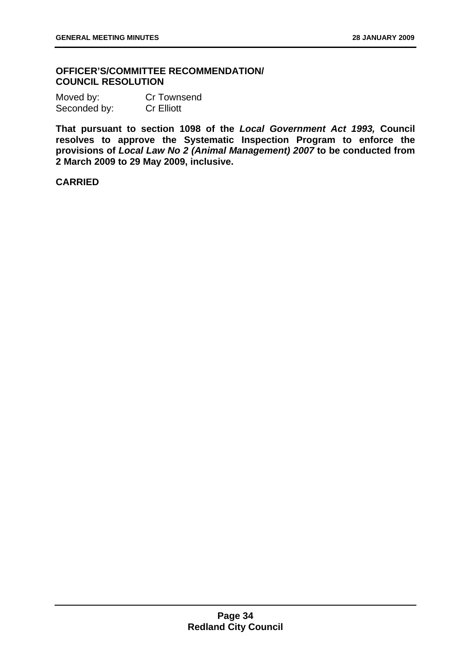#### **OFFICER'S/COMMITTEE RECOMMENDATION/ COUNCIL RESOLUTION**

Moved by: Cr Townsend Seconded by: Cr Elliott

**That pursuant to section 1098 of the** *Local Government Act 1993,* **Council resolves to approve the Systematic Inspection Program to enforce the provisions of** *Local Law No 2 (Animal Management) 2007* **to be conducted from 2 March 2009 to 29 May 2009, inclusive.**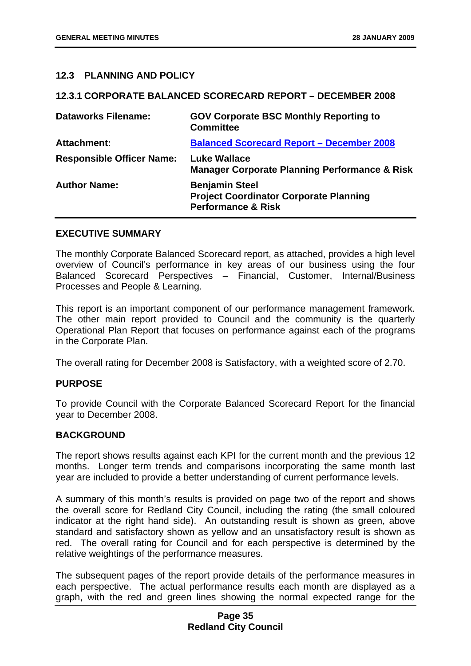#### <span id="page-37-0"></span>**12.3 PLANNING AND POLICY**

#### **12.3.1 CORPORATE BALANCED SCORECARD REPORT – DECEMBER 2008**

| <b>Dataworks Filename:</b>       | <b>GOV Corporate BSC Monthly Reporting to</b><br><b>Committee</b>                                       |
|----------------------------------|---------------------------------------------------------------------------------------------------------|
| <b>Attachment:</b>               | <b>Balanced Scorecard Report - December 2008</b>                                                        |
| <b>Responsible Officer Name:</b> | Luke Wallace<br><b>Manager Corporate Planning Performance &amp; Risk</b>                                |
| <b>Author Name:</b>              | <b>Benjamin Steel</b><br><b>Project Coordinator Corporate Planning</b><br><b>Performance &amp; Risk</b> |

#### **EXECUTIVE SUMMARY**

The monthly Corporate Balanced Scorecard report, as attached, provides a high level overview of Council's performance in key areas of our business using the four Balanced Scorecard Perspectives – Financial, Customer, Internal/Business Processes and People & Learning.

This report is an important component of our performance management framework. The other main report provided to Council and the community is the quarterly Operational Plan Report that focuses on performance against each of the programs in the Corporate Plan.

The overall rating for December 2008 is Satisfactory, with a weighted score of 2.70.

#### **PURPOSE**

To provide Council with the Corporate Balanced Scorecard Report for the financial year to December 2008.

#### **BACKGROUND**

The report shows results against each KPI for the current month and the previous 12 months. Longer term trends and comparisons incorporating the same month last year are included to provide a better understanding of current performance levels.

A summary of this month's results is provided on page two of the report and shows the overall score for Redland City Council, including the rating (the small coloured indicator at the right hand side). An outstanding result is shown as green, above standard and satisfactory shown as yellow and an unsatisfactory result is shown as red. The overall rating for Council and for each perspective is determined by the relative weightings of the performance measures.

The subsequent pages of the report provide details of the performance measures in each perspective. The actual performance results each month are displayed as a graph, with the red and green lines showing the normal expected range for the

#### **Page 35 Redland City Council**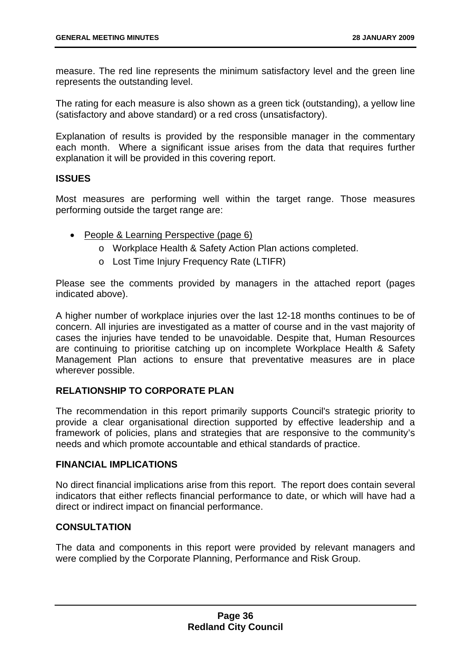measure. The red line represents the minimum satisfactory level and the green line represents the outstanding level.

The rating for each measure is also shown as a green tick (outstanding), a yellow line (satisfactory and above standard) or a red cross (unsatisfactory).

Explanation of results is provided by the responsible manager in the commentary each month. Where a significant issue arises from the data that requires further explanation it will be provided in this covering report.

#### **ISSUES**

Most measures are performing well within the target range. Those measures performing outside the target range are:

- People & Learning Perspective (page 6)
	- o Workplace Health & Safety Action Plan actions completed.
	- o Lost Time Injury Frequency Rate (LTIFR)

Please see the comments provided by managers in the attached report (pages indicated above).

A higher number of workplace injuries over the last 12-18 months continues to be of concern. All injuries are investigated as a matter of course and in the vast majority of cases the injuries have tended to be unavoidable. Despite that, Human Resources are continuing to prioritise catching up on incomplete Workplace Health & Safety Management Plan actions to ensure that preventative measures are in place wherever possible.

#### **RELATIONSHIP TO CORPORATE PLAN**

The recommendation in this report primarily supports Council's strategic priority to provide a clear organisational direction supported by effective leadership and a framework of policies, plans and strategies that are responsive to the community's needs and which promote accountable and ethical standards of practice.

#### **FINANCIAL IMPLICATIONS**

No direct financial implications arise from this report. The report does contain several indicators that either reflects financial performance to date, or which will have had a direct or indirect impact on financial performance.

#### **CONSULTATION**

The data and components in this report were provided by relevant managers and were complied by the Corporate Planning, Performance and Risk Group.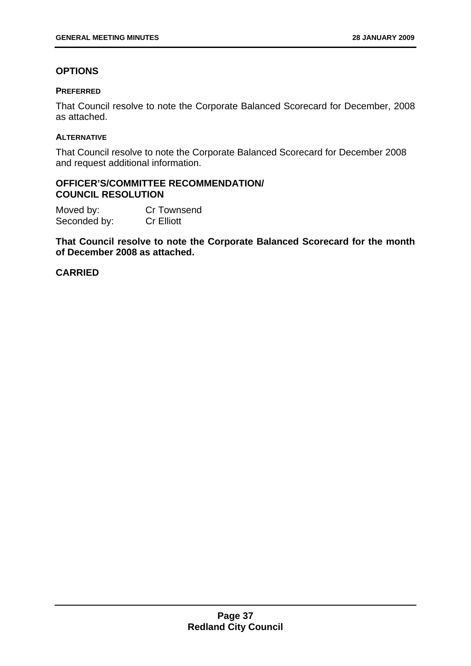#### **OPTIONS**

#### **PREFERRED**

That Council resolve to note the Corporate Balanced Scorecard for December, 2008 as attached.

#### **ALTERNATIVE**

That Council resolve to note the Corporate Balanced Scorecard for December 2008 and request additional information.

#### **OFFICER'S/COMMITTEE RECOMMENDATION/ COUNCIL RESOLUTION**

Moved by: Cr Townsend Seconded by: Cr Elliott

**That Council resolve to note the Corporate Balanced Scorecard for the month of December 2008 as attached.**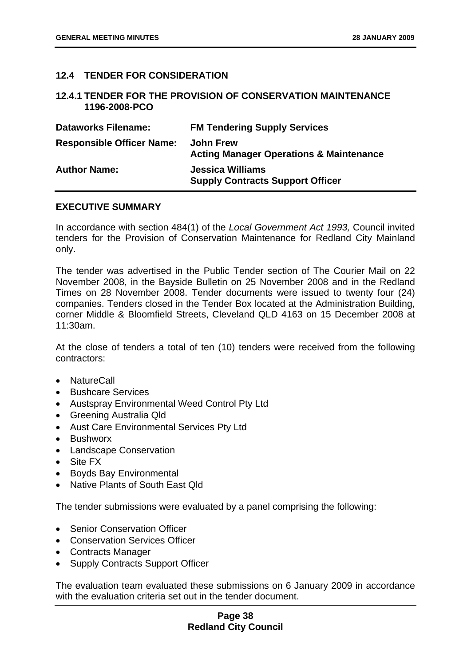#### <span id="page-40-0"></span>**12.4 TENDER FOR CONSIDERATION**

#### **12.4.1 TENDER FOR THE PROVISION OF CONSERVATION MAINTENANCE 1196-2008-PCO**

| <b>Dataworks Filename:</b>       | <b>FM Tendering Supply Services</b>                                    |
|----------------------------------|------------------------------------------------------------------------|
| <b>Responsible Officer Name:</b> | <b>John Frew</b><br><b>Acting Manager Operations &amp; Maintenance</b> |
| <b>Author Name:</b>              | <b>Jessica Williams</b><br><b>Supply Contracts Support Officer</b>     |

#### **EXECUTIVE SUMMARY**

In accordance with section 484(1) of the *Local Government Act 1993,* Council invited tenders for the Provision of Conservation Maintenance for Redland City Mainland only.

The tender was advertised in the Public Tender section of The Courier Mail on 22 November 2008, in the Bayside Bulletin on 25 November 2008 and in the Redland Times on 28 November 2008. Tender documents were issued to twenty four (24) companies. Tenders closed in the Tender Box located at the Administration Building, corner Middle & Bloomfield Streets, Cleveland QLD 4163 on 15 December 2008 at 11:30am.

At the close of tenders a total of ten (10) tenders were received from the following contractors:

- NatureCall
- Bushcare Services
- Austspray Environmental Weed Control Pty Ltd
- Greening Australia Qld
- Aust Care Environmental Services Pty Ltd
- Bushworx
- Landscape Conservation
- Site FX
- Boyds Bay Environmental
- Native Plants of South East Qld

The tender submissions were evaluated by a panel comprising the following:

- Senior Conservation Officer
- Conservation Services Officer
- Contracts Manager
- Supply Contracts Support Officer

The evaluation team evaluated these submissions on 6 January 2009 in accordance with the evaluation criteria set out in the tender document.

#### **Page 38 Redland City Council**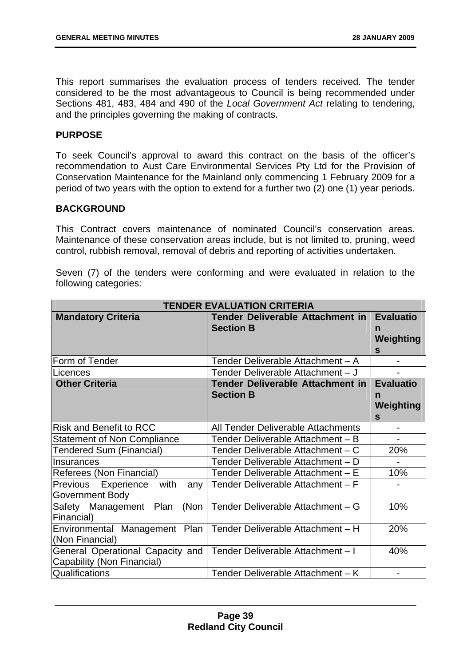This report summarises the evaluation process of tenders received. The tender considered to be the most advantageous to Council is being recommended under Sections 481, 483, 484 and 490 of the *Local Government Act* relating to tendering, and the principles governing the making of contracts.

#### **PURPOSE**

To seek Council's approval to award this contract on the basis of the officer's recommendation to Aust Care Environmental Services Pty Ltd for the Provision of Conservation Maintenance for the Mainland only commencing 1 February 2009 for a period of two years with the option to extend for a further two (2) one (1) year periods.

#### **BACKGROUND**

This Contract covers maintenance of nominated Council's conservation areas. Maintenance of these conservation areas include, but is not limited to, pruning, weed control, rubbish removal, removal of debris and reporting of activities undertaken.

Seven (7) of the tenders were conforming and were evaluated in relation to the following categories:

| <b>TENDER EVALUATION CRITERIA</b>            |                                         |                  |
|----------------------------------------------|-----------------------------------------|------------------|
| <b>Mandatory Criteria</b>                    | <b>Tender Deliverable Attachment in</b> | <b>Evaluatio</b> |
|                                              | <b>Section B</b>                        | n                |
|                                              |                                         | Weighting        |
|                                              |                                         | $\mathbf{s}$     |
| Form of Tender                               | Tender Deliverable Attachment - A       |                  |
| Licences                                     | Tender Deliverable Attachment - J       |                  |
| <b>Other Criteria</b>                        | <b>Tender Deliverable Attachment in</b> | <b>Evaluatio</b> |
|                                              | <b>Section B</b>                        | n                |
|                                              |                                         | Weighting        |
|                                              |                                         | $\mathbf{s}$     |
| <b>Risk and Benefit to RCC</b>               | All Tender Deliverable Attachments      |                  |
| <b>Statement of Non Compliance</b>           | Tender Deliverable Attachment - B       |                  |
| <b>Tendered Sum (Financial)</b>              | Tender Deliverable Attachment - C       | 20%              |
| Insurances                                   | Tender Deliverable Attachment - D       |                  |
| Referees (Non Financial)                     | Tender Deliverable Attachment - E       | 10%              |
| with<br>Experience<br><b>Previous</b><br>any | Tender Deliverable Attachment - F       |                  |
| Government Body                              |                                         |                  |
| (Non<br>Safety Management Plan               | Tender Deliverable Attachment - G       | 10%              |
| Financial)                                   |                                         |                  |
| Environmental Management Plan                | Tender Deliverable Attachment - H       | 20%              |
| (Non Financial)                              |                                         |                  |
| General Operational Capacity and             | Tender Deliverable Attachment-I         | 40%              |
| Capability (Non Financial)                   |                                         |                  |
| Qualifications                               | Tender Deliverable Attachment - K       | Ξ.               |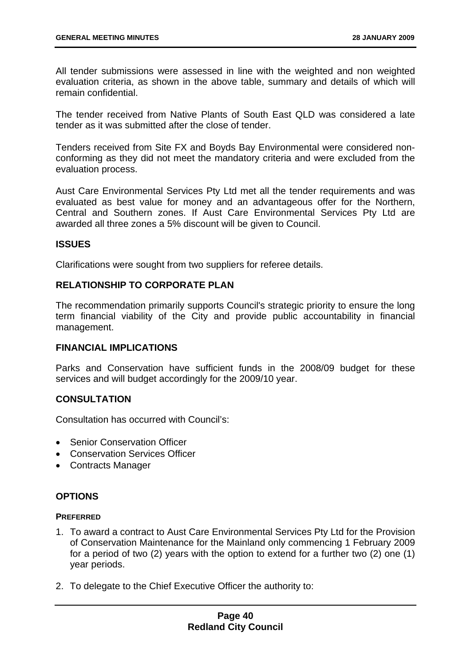All tender submissions were assessed in line with the weighted and non weighted evaluation criteria, as shown in the above table, summary and details of which will remain confidential.

The tender received from Native Plants of South East QLD was considered a late tender as it was submitted after the close of tender.

Tenders received from Site FX and Boyds Bay Environmental were considered nonconforming as they did not meet the mandatory criteria and were excluded from the evaluation process.

Aust Care Environmental Services Pty Ltd met all the tender requirements and was evaluated as best value for money and an advantageous offer for the Northern, Central and Southern zones. If Aust Care Environmental Services Pty Ltd are awarded all three zones a 5% discount will be given to Council.

#### **ISSUES**

Clarifications were sought from two suppliers for referee details.

#### **RELATIONSHIP TO CORPORATE PLAN**

The recommendation primarily supports Council's strategic priority to ensure the long term financial viability of the City and provide public accountability in financial management.

#### **FINANCIAL IMPLICATIONS**

Parks and Conservation have sufficient funds in the 2008/09 budget for these services and will budget accordingly for the 2009/10 year.

#### **CONSULTATION**

Consultation has occurred with Council's:

- Senior Conservation Officer
- Conservation Services Officer
- Contracts Manager

#### **OPTIONS**

#### **PREFERRED**

- 1. To award a contract to Aust Care Environmental Services Pty Ltd for the Provision of Conservation Maintenance for the Mainland only commencing 1 February 2009 for a period of two (2) years with the option to extend for a further two (2) one (1) year periods.
- 2. To delegate to the Chief Executive Officer the authority to: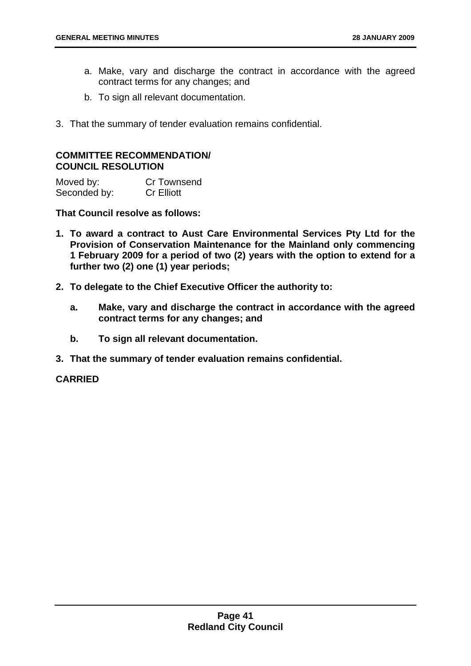- a. Make, vary and discharge the contract in accordance with the agreed contract terms for any changes; and
- b. To sign all relevant documentation.
- 3. That the summary of tender evaluation remains confidential.

#### **COMMITTEE RECOMMENDATION/ COUNCIL RESOLUTION**

Moved by: Cr Townsend<br>
Seconded by: Cr Elliott Seconded by:

**That Council resolve as follows:** 

- **1. To award a contract to Aust Care Environmental Services Pty Ltd for the Provision of Conservation Maintenance for the Mainland only commencing 1 February 2009 for a period of two (2) years with the option to extend for a further two (2) one (1) year periods;**
- **2. To delegate to the Chief Executive Officer the authority to:** 
	- **a. Make, vary and discharge the contract in accordance with the agreed contract terms for any changes; and**
	- **b. To sign all relevant documentation.**
- **3. That the summary of tender evaluation remains confidential.**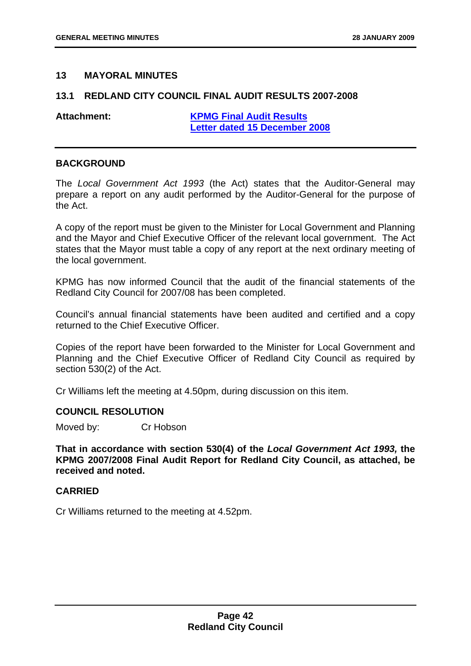#### <span id="page-44-0"></span>**13 MAYORAL MINUTES**

#### **13.1 REDLAND CITY COUNCIL FINAL AUDIT RESULTS 2007-2008**

**Attachment: KPMG Final Audit Results Letter dated 15 December 2008**

#### **BACKGROUND**

The *Local Government Act 1993* (the Act) states that the Auditor-General may prepare a report on any audit performed by the Auditor-General for the purpose of the Act.

A copy of the report must be given to the Minister for Local Government and Planning and the Mayor and Chief Executive Officer of the relevant local government. The Act states that the Mayor must table a copy of any report at the next ordinary meeting of the local government.

KPMG has now informed Council that the audit of the financial statements of the Redland City Council for 2007/08 has been completed.

Council's annual financial statements have been audited and certified and a copy returned to the Chief Executive Officer.

Copies of the report have been forwarded to the Minister for Local Government and Planning and the Chief Executive Officer of Redland City Council as required by section 530(2) of the Act.

Cr Williams left the meeting at 4.50pm, during discussion on this item.

#### **COUNCIL RESOLUTION**

Moved by: Cr Hobson

**That in accordance with section 530(4) of the** *Local Government Act 1993,* **the KPMG 2007/2008 Final Audit Report for Redland City Council, as attached, be received and noted.** 

#### **CARRIED**

Cr Williams returned to the meeting at 4.52pm.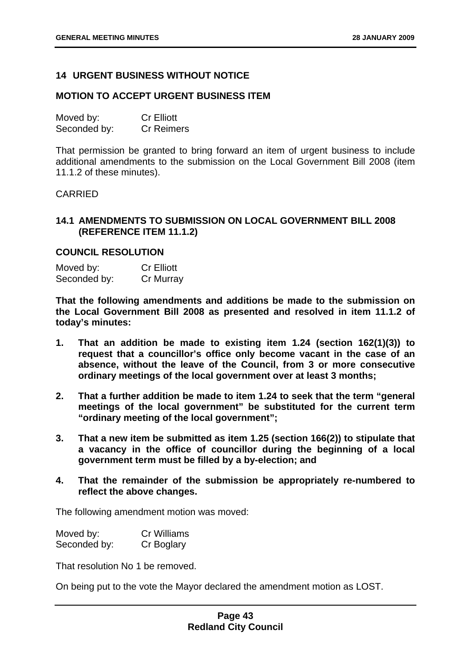#### <span id="page-45-0"></span>**14 URGENT BUSINESS WITHOUT NOTICE**

#### **MOTION TO ACCEPT URGENT BUSINESS ITEM**

| Moved by:    | <b>Cr Elliott</b> |
|--------------|-------------------|
| Seconded by: | <b>Cr Reimers</b> |

That permission be granted to bring forward an item of urgent business to include additional amendments to the submission on the Local Government Bill 2008 (item 11.1.2 of these minutes).

#### CARRIED

#### **14.1 AMENDMENTS TO SUBMISSION ON LOCAL GOVERNMENT BILL 2008 (REFERENCE ITEM 11.1.2)**

#### **COUNCIL RESOLUTION**

Moved by: Cr Elliott Seconded by: Cr Murray

**That the following amendments and additions be made to the submission on the Local Government Bill 2008 as presented and resolved in item 11.1.2 of today's minutes:** 

- **1. That an addition be made to existing item 1.24 (section 162(1)(3)) to request that a councillor's office only become vacant in the case of an absence, without the leave of the Council, from 3 or more consecutive ordinary meetings of the local government over at least 3 months;**
- **2. That a further addition be made to item 1.24 to seek that the term "general meetings of the local government" be substituted for the current term "ordinary meeting of the local government";**
- **3. That a new item be submitted as item 1.25 (section 166(2)) to stipulate that a vacancy in the office of councillor during the beginning of a local government term must be filled by a by-election; and**
- **4. That the remainder of the submission be appropriately re-numbered to reflect the above changes.**

The following amendment motion was moved:

| Moved by:    | <b>Cr Williams</b> |
|--------------|--------------------|
| Seconded by: | Cr Boglary         |

That resolution No 1 be removed.

On being put to the vote the Mayor declared the amendment motion as LOST.